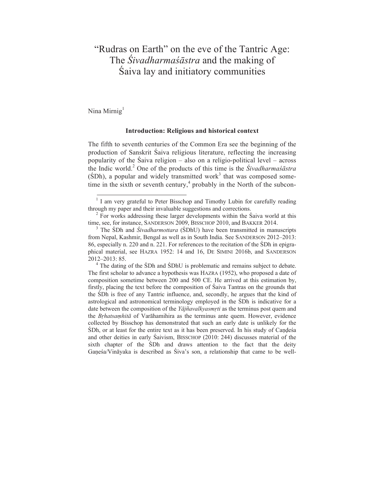# "Rudras on Earth" on the eve of the Tantric Age: The *Śivadharmaśāstra* and the making of Śaiva lay and initiatory communities

Nina Mirnig $<sup>1</sup>$ </sup>

 

#### **Introduction: Religious and historical context**

The fifth to seventh centuries of the Common Era see the beginning of the production of Sanskrit Śaiva religious literature, reflecting the increasing popularity of the Śaiva religion – also on a religio-political level – across the Indic world.<sup>2</sup> One of the products of this time is the *Śivadharmaśāstra*  $(SDh)$ , a popular and widely transmitted work<sup>3</sup> that was composed sometime in the sixth or seventh century, $4$  probably in the North of the subcon-

The first scholar to advance a hypothesis was HAZRA (1952), who proposed a date of composition sometime between 200 and 500 CE. He arrived at this estimation by, firstly, placing the text before the composition of Śaiva Tantras on the grounds that the ŚDh is free of any Tantric influence, and, secondly, he argues that the kind of astrological and astronomical terminology employed in the ŚDh is indicative for a date between the composition of the *Yājñavalkyasmṛti* as the terminus post quem and the *Bṛhatsaṃhitā* of Varāhamihira as the terminus ante quem. However, evidence collected by Bisschop has demonstrated that such an early date is unlikely for the ŚDh, or at least for the entire text as it has been preserved. In his study of Caṇḍeśa and other deities in early Śaivism, BISSCHOP (2010: 244) discusses material of the sixth chapter of the ŚDh and draws attention to the fact that the deity Gaṇeśa/Vināyaka is described as Śiva's son, a relationship that came to be well-

<sup>&</sup>lt;sup>1</sup> I am very grateful to Peter Bisschop and Timothy Lubin for carefully reading

through my paper and their invaluable suggestions and corrections.<br><sup>2</sup> For works addressing these larger developments within the Śaiva world at this time, see, for instance, SANDERSON 2009, BISSCHOP 2010, and BAKKER 2014.

<sup>&</sup>lt;sup>3</sup> The SDh and *Śivadharmottara* (SDhU) have been transmitted in manuscripts from Nepal, Kashmir, Bengal as well as in South India. See SANDERSON 2012–2013: 86, especially n. 220 and n. 221. For references to the recitation of the ŚDh in epigraphical material, see HAZRA 1952: 14 and 16, DE SIMINI 2016b, and SANDERSON 2012–2013: 85. 4 The dating of the ŚDh and ŚDhU is problematic and remains subject to debate.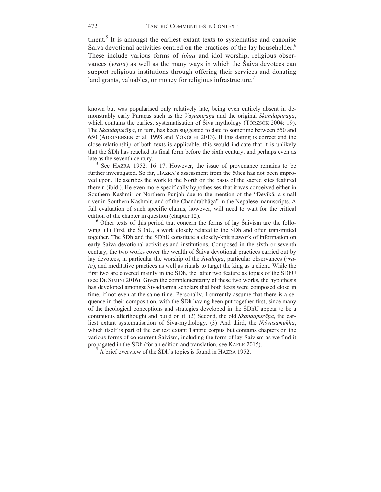tinent. $<sup>5</sup>$  It is amongst the earliest extant texts to systematise and canonise</sup> Śaiva devotional activities centred on the practices of the lay householder.6 These include various forms of *liṅga* and idol worship, religious observances (*vrata*) as well as the many ways in which the Śaiva devotees can support religious institutions through offering their services and donating land grants, valuables, or money for religious infrastructure.<sup>7</sup>

known but was popularised only relatively late, being even entirely absent in demonstrably early Purāṇas such as the *Vāyupurāṇa* and the original *Skandapurāṇa*, which contains the earliest systematisation of Śiva mythology (TÖRZSÖK 2004: 19). The *Skandapurāṇa*, in turn, has been suggested to date to sometime between 550 and 650 (ADRIAENSEN et al. 1998 and YOKOCHI 2013). If this dating is correct and the close relationship of both texts is applicable, this would indicate that it is unlikely that the ŚDh has reached its final form before the sixth century, and perhaps even as late as the seventh century.<br><sup>5</sup> See HAZRA 1952: 16–17. However, the issue of provenance remains to be

<u> 1989 - Jan Samuel Barbara, margaret e popularista e popularista e popularista e popularista e popularista e</u>

further investigated. So far, HAZRA's assessment from the 50ies has not been improved upon. He ascribes the work to the North on the basis of the sacred sites featured therein (ibid.). He even more specifically hypothesises that it was conceived either in Southern Kashmir or Northern Punjab due to the mention of the "Devikā, a small river in Southern Kashmir, and of the Chandrabhāga" in the Nepalese manuscripts. A full evaluation of such specific claims, however, will need to wait for the critical edition of the chapter in question (chapter 12).<br><sup>6</sup> Other texts of this period that concern the forms of lay Śaivism are the follo-

wing: (1) First, the ŚDhU, a work closely related to the ŚDh and often transmitted together. The ŚDh and the ŚDhU constitute a closely-knit network of information on early Śaiva devotional activities and institutions. Composed in the sixth or seventh century, the two works cover the wealth of Śaiva devotional practices carried out by lay devotees, in particular the worship of the *śivalinga*, particular observances (*vrata*), and meditative practices as well as rituals to target the king as a client. While the first two are covered mainly in the ŚDh, the latter two feature as topics of the ŚDhU (see DE SIMINI 2016). Given the complementarity of these two works, the hypothesis has developed amongst Śivadharma scholars that both texts were composed close in time, if not even at the same time. Personally, I currently assume that there is a sequence in their composition, with the ŚDh having been put together first, since many of the theological conceptions and strategies developed in the ŚDhU appear to be a continuous afterthought and build on it. (2) Second, the old *Skandapurāṇa*, the earliest extant systematisation of Śiva-mythology. (3) And third, the *Niśvāsamukha*, which itself is part of the earliest extant Tantric corpus but contains chapters on the various forms of concurrent Śaivism, including the form of lay Śaivism as we find it propagated in the SDh (for an edition and translation, see KAFLE 2015).

A brief overview of the ŚDh's topics is found in HAZRA 1952.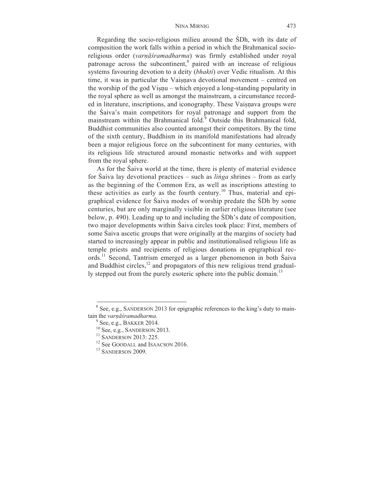Regarding the socio-religious milieu around the ŚDh, with its date of composition the work falls within a period in which the Brahmanical socioreligious order (*varṇāśramadharma*) was firmly established under royal patronage across the subcontinent, $\frac{8}{3}$  paired with an increase of religious systems favouring devotion to a deity (*bhakti*) over Vedic ritualism. At this time, it was in particular the Vaisnava devotional movement – centred on the worship of the god Visnu – which enjoyed a long-standing popularity in the royal sphere as well as amongst the mainstream, a circumstance recorded in literature, inscriptions, and iconography. These Vaisnava groups were the Śaiva's main competitors for royal patronage and support from the mainstream within the Brahmanical fold. $\frac{3}{2}$  Outside this Brahmanical fold, Buddhist communities also counted amongst their competitors. By the time of the sixth century, Buddhism in its manifold manifestations had already been a major religious force on the subcontinent for many centuries, with its religious life structured around monastic networks and with support from the royal sphere.

As for the Śaiva world at the time, there is plenty of material evidence for Śaiva lay devotional practices – such as *liṅga* shrines – from as early as the beginning of the Common Era, as well as inscriptions attesting to these activities as early as the fourth century.<sup>10</sup> Thus, material and epigraphical evidence for Śaiva modes of worship predate the ŚDh by some centuries, but are only marginally visible in earlier religious literature (see below, p. 490). Leading up to and including the ŚDh's date of composition, two major developments within Śaiva circles took place: First, members of some Śaiva ascetic groups that were originally at the margins of society had started to increasingly appear in public and institutionalised religious life as temple priests and recipients of religious donations in epigraphical records.11 Second, Tantrism emerged as a larger phenomenon in both Śaiva and Buddhist circles, $12$  and propagators of this new religious trend gradually stepped out from the purely esoteric sphere into the public domain.<sup>13</sup>

 $8$  See, e.g., SANDERSON 2013 for epigraphic references to the king's duty to maintain the *varnāśramadharma*.<br><sup>9</sup> See, e.g., BAKKER 2014.<br><sup>10</sup> See, e.g., SANDERSON 2013.<br><sup>11</sup> SANDERSON 2013: 225.<br><sup>12</sup> See GOODALL and ISAACSON 2016.<br><sup>13</sup> SANDERSON 2009.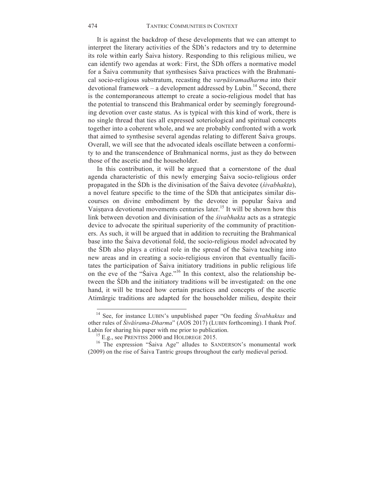It is against the backdrop of these developments that we can attempt to interpret the literary activities of the ŚDh's redactors and try to determine its role within early Śaiva history. Responding to this religious milieu, we can identify two agendas at work: First, the ŚDh offers a normative model for a Śaiva community that synthesises Śaiva practices with the Brahmanical socio-religious substratum, recasting the *varṇāśramadharma* into their devotional framework – a development addressed by Lubin.<sup>14</sup> Second, there is the contemporaneous attempt to create a socio-religious model that has the potential to transcend this Brahmanical order by seemingly foregrounding devotion over caste status. As is typical with this kind of work, there is no single thread that ties all expressed soteriological and spiritual concepts together into a coherent whole, and we are probably confronted with a work that aimed to synthesise several agendas relating to different Śaiva groups. Overall, we will see that the advocated ideals oscillate between a conformity to and the transcendence of Brahmanical norms, just as they do between those of the ascetic and the householder.

In this contribution, it will be argued that a cornerstone of the dual agenda characteristic of this newly emerging Śaiva socio-religious order propagated in the ŚDh is the divinisation of the Śaiva devotee (*śivabhakta*), a novel feature specific to the time of the ŚDh that anticipates similar discourses on divine embodiment by the devotee in popular Śaiva and Vaiṣṇava devotional movements centuries later.<sup>15</sup> It will be shown how this link between devotion and divinisation of the *śivabhakta* acts as a strategic device to advocate the spiritual superiority of the community of practitioners. As such, it will be argued that in addition to recruiting the Brahmanical base into the Śaiva devotional fold, the socio-religious model advocated by the ŚDh also plays a critical role in the spread of the Śaiva teaching into new areas and in creating a socio-religious environ that eventually facilitates the participation of Śaiva initiatory traditions in public religious life on the eve of the "Saiva Age."<sup>16</sup> In this context, also the relationship between the ŚDh and the initiatory traditions will be investigated: on the one hand, it will be traced how certain practices and concepts of the ascetic Atimārgic traditions are adapted for the householder milieu, despite their

<sup>14</sup> See, for instance LUBIN's unpublished paper "On feeding *Śivabhaktas* and other rules of *Śivāśrama-Dharma*" (AOS 2017) (LUBIN forthcoming). I thank Prof.

<sup>&</sup>lt;sup>15</sup> E.g., see PRENTISS 2000 and HOLDREGE 2015. <sup>16</sup> The expression "Śaiva Age" alludes to SANDERSON's monumental work (2009) on the rise of Śaiva Tantric groups throughout the early medieval period.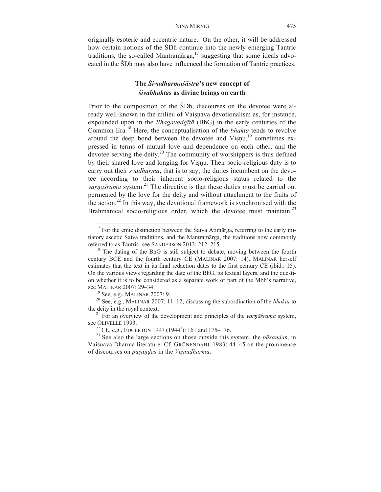originally esoteric and eccentric nature. On the other, it will be addressed how certain notions of the ŚDh continue into the newly emerging Tantric traditions, the so-called Mantramārga,<sup>17</sup> suggesting that some ideals advocated in the ŚDh may also have influenced the formation of Tantric practices.

# **The** *Śivadharmaśāstra***'s new concept of** *śivabhakta***s as divine beings on earth**

Prior to the composition of the ŚDh, discourses on the devotee were already well-known in the milieu of Vaisnava devotionalism as, for instance, expounded upon in the *Bhagavadgītā* (BhG) in the early centuries of the Common Era.<sup>18</sup> Here, the conceptualisation of the *bhakta* tends to revolve around the deep bond between the devotee and Viṣṇu, <sup>19</sup> sometimes expressed in terms of mutual love and dependence on each other, and the devotee serving the deity.<sup>20</sup> The community of worshippers is thus defined by their shared love and longing for Visnu. Their socio-religious duty is to carry out their *svadharma*, that is to say, the duties incumbent on the devotee according to their inherent socio-religious status related to the *varṇāśrama* system.<sup>21</sup> The directive is that these duties must be carried out permeated by the love for the deity and without attachment to the fruits of the action.<sup>22</sup> In this way, the devotional framework is synchronised with the Brahmanical socio-religious order, which the devotee must maintain.<sup>23</sup>

 $17$  For the emic distinction between the Śaiva Atimārga, referring to the early initiatory ascetic Śaiva traditions, and the Mantramārga, the traditions now commonly referred to as Tantric, see SANDERSON 2013: 212–215.<br><sup>18</sup> The dating of the BhG is still subject to debate, moving between the fourth

century BCE and the fourth century CE (MALINAR 2007: 14). MALINAR herself estimates that the text in its final redaction dates to the first century CE (ibid.: 15). On the various views regarding the date of the BhG, its textual layers, and the question whether it is to be considered as a separate work or part of the Mbh's narrative,

see MALINAR 2007: 29–34.<br><sup>19</sup> See, e.g., MALINAR 2007: 9.<br><sup>20</sup> See, e.g., MALINAR 2007: 11–12, discussing the subordination of the *bhakta* to the deity in the royal context.

<sup>&</sup>lt;sup>21</sup> For an overview of the development and principles of the *varnāśrama* system, see OLIVELLE 1993.<br><sup>22</sup> Cf., e.g., EDGERTON 1997 (1944<sup>1</sup>): 161 and 175–176.

<sup>&</sup>lt;sup>23</sup> See also the large sections on those outside this system, the *p* $\bar{a}$ *sandas*, in Vaisnava Dharma literature. Cf. GRÜNENDAHL 1983: 44–45 on the prominence of discourses on *pāṣaṇḍa*s in the *Viṣṇudharma*.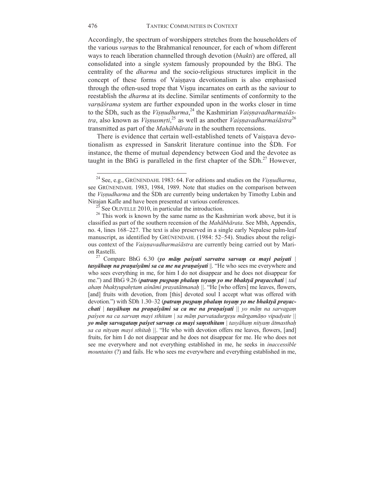Accordingly, the spectrum of worshippers stretches from the householders of the various *varṇa*s to the Brahmanical renouncer, for each of whom different ways to reach liberation channelled through devotion (*bhakti*) are offered, all consolidated into a single system famously propounded by the BhG. The centrality of the *dharma* and the socio-religious structures implicit in the concept of these forms of Vaisnava devotionalism is also emphasised through the often-used trope that Visnu incarnates on earth as the saviour to reestablish the *dharma* at its decline. Similar sentiments of conformity to the *varṇāśrama* system are further expounded upon in the works closer in time to the ŚDh, such as the *Viṣṇudharma*, <sup>24</sup> the Kashmirian *Vaiṣṇavadharmaśāstra*, also known as *Viṣṇusmṛti*, <sup>25</sup> as well as another *Vaiṣṇavadharmaśāstra*<sup>26</sup> transmitted as part of the *Mahābhārata* in the southern recensions.

There is evidence that certain well-established tenets of Vaisnava devotionalism as expressed in Sanskrit literature continue into the ŚDh. For instance, the theme of mutual dependency between God and the devotee as taught in the BhG is paralleled in the first chapter of the SDh.<sup>27</sup> However.

<u> Andreas Andreas Andreas Andreas Andreas Andreas Andreas Andreas Andreas Andreas Andreas Andreas Andreas Andr</u>

*tasyāhaṃ na praṇaśyāmi sa ca me na praṇaśyati* ||. "He who sees me everywhere and who sees everything in me, for him I do not disappear and he does not disappear for me.") and BhG 9.26 (*patraṃ puṣpaṃ phalaṃ toyaṃ yo me bhaktyā prayacchati | tad ahaṃ bhaktyupahṛtam aśnāmi prayatātmanaḥ ||*. "He [who offers] me leaves, flowers, [and] fruits with devotion, from [this] devoted soul I accept what was offered with devotion.") with ŚDh 1.30–32 (*patraṃ puṣpaṃ phalaṃ toyaṃ yo me bhaktyā prayacchati | tasyāhaṃ na praṇaśyāmi sa ca me na praṇaśyati || yo māṃ na sarvagaṃ paśyen na ca sarvaṃ mayi sthitam | sa māṃ parvatadurgeṣu mārgamāṇo vipadyate || yo māṃ sarvagataṃ paśyet sarvaṃ ca mayi saṃsthitam | tasyāhaṃ nityaṃ ātmasthaḥ sa ca nityaṃ mayi sthitaḥ ||*. "He who with devotion offers me leaves, flowers, [and] fruits, for him I do not disappear and he does not disappear for me. He who does not see me everywhere and not everything established in me, he seeks in *inaccessible mountains* (?) and fails. He who sees me everywhere and everything established in me,

<sup>24</sup> See, e.g., GRÜNENDAHL 1983: 64. For editions and studies on the *Viṣṇudharma*, see GRÜNENDAHL 1983, 1984, 1989. Note that studies on the comparison between the *Viṣṇudharma* and the ŚDh are currently being undertaken by Timothy Lubin and Nirajan Kafle and have been presented at various conferences.

<sup>&</sup>lt;sup>25</sup> See OLIVELLE 2010, in particular the introduction.<br><sup>26</sup> This work is known by the same name as the Kashmirian work above, but it is classified as part of the southern recension of the *Mahābhārata*. See Mbh, Appendix, no. 4, lines 168–227. The text is also preserved in a single early Nepalese palm-leaf manuscript, as identified by GRÜNENDAHL (1984: 52–54). Studies about the religious context of the *Vaiṣṇavadharmaśāstra* are currently being carried out by Marion Rastelli. <sup>27</sup> Compare BhG 6.30 (*yo māṃ paśyati sarvatra sarva<sup>ṃ</sup> ca mayi paśyati <sup>|</sup>*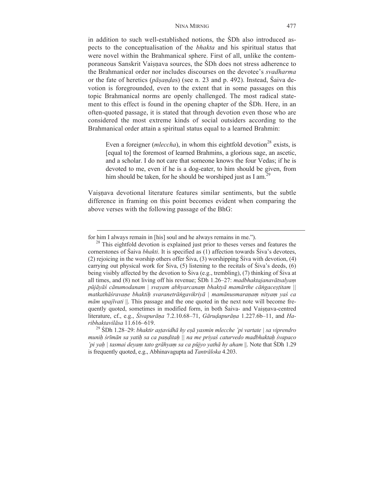#### NINA MIRNIG 477

in addition to such well-established notions, the ŚDh also introduced aspects to the conceptualisation of the *bhakta* and his spiritual status that were novel within the Brahmanical sphere. First of all, unlike the contemporaneous Sanskrit Vaisnava sources, the SDh does not stress adherence to the Brahmanical order nor includes discourses on the devotee's *svadharma* or the fate of heretics (*pāṣaṇḍa*s) (see n. 23 and p. 492). Instead, Śaiva devotion is foregrounded, even to the extent that in some passages on this topic Brahmanical norms are openly challenged. The most radical statement to this effect is found in the opening chapter of the ŚDh. Here, in an often-quoted passage, it is stated that through devotion even those who are considered the most extreme kinds of social outsiders according to the Brahmanical order attain a spiritual status equal to a learned Brahmin:

Even a foreigner ( $\mathit{mleccha}$ ), in whom this eightfold devotion<sup>28</sup> exists, is [equal to] the foremost of learned Brahmins, a glorious sage, an ascetic, and a scholar. I do not care that someone knows the four Vedas; if he is devoted to me, even if he is a dog-eater, to him should be given, from him should be taken, for he should be worshiped just as I am.<sup>29</sup>

<u> 2000 - Andrea Andrew Maria (h. 1888).</u><br>2001 - Andrew Maria (h. 1889).

Vaisnava devotional literature features similar sentiments, but the subtle difference in framing on this point becomes evident when comparing the above verses with the following passage of the BhG:

for him I always remain in [his] soul and he always remains in me."). <sup>28</sup> This eightfold devotion is explained just prior to theses verses and features the cornerstones of Śaiva *bhakti*. It is specified as (1) affection towards Śiva's devotees, (2) rejoicing in the worship others offer Śiva, (3) worshipping Śiva with devotion, (4) carrying out physical work for Siva, (5) listening to the recitals of Siva's deeds, (6) being visibly affected by the devotion to Śiva (e.g., trembling), (7) thinking of Śiva at all times, and (8) not living off his revenue; ŚDh 1.26–27: *madbhaktajanavātsalyaṃ pūjāyāś cānumodanam | svayam abhyarcanaṃ bhaktyā mamārthe cāṅgaceṣṭitam || matkathāśravaṇe bhaktiḥ svaranetrāṅgavikriyā | mamānusmaraṇaṃ nityaṃ yaś ca mām upajīvati* ||. This passage and the one quoted in the next note will become frequently quoted, sometimes in modified form, in both Śaiva- and Vaisnava-centred literature, cf., e.g., *Śivapurāṇa* 7.2.10.68–71, *Gāruḍapurāṇa* 1.227.6b–11, and *Haribhaktavilāsa* 11.616–619. <sup>29</sup> <sup>Ś</sup>Dh 1.28–29: *bhaktir aṣṭavidhā hy eṣā yasmin mlecche 'pi vartate | sa viprendro* 

*muniḥ śrīmān sa yatiḥ sa ca paṇḍitaḥ || na me priyaś caturvedo madbhaktaḥ śvapaco 'pi yaḥ | tasmai deyaṃ tato grāhyaṃ sa ca pūjyo yathā hy aham* ||. Note that ŚDh 1.29 is frequently quoted, e.g., Abhinavagupta ad *Tantrāloka* 4.203.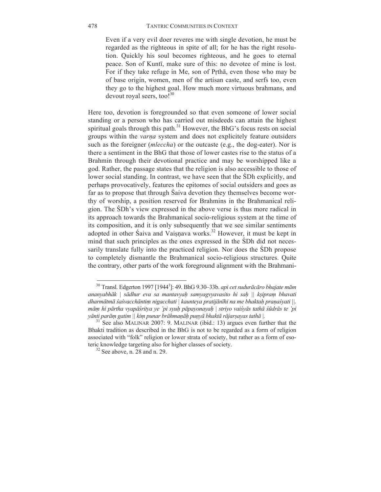Even if a very evil doer reveres me with single devotion, he must be regarded as the righteous in spite of all; for he has the right resolution. Quickly his soul becomes righteous, and he goes to eternal peace. Son of Kuntī, make sure of this: no devotee of mine is lost. For if they take refuge in Me, son of Pṛthā, even those who may be of base origin, women, men of the artisan caste, and serfs too, even they go to the highest goal. How much more virtuous brahmans, and devout royal seers, too! $30$ 

Here too, devotion is foregrounded so that even someone of lower social standing or a person who has carried out misdeeds can attain the highest spiritual goals through this path. $31$  However, the BhG's focus rests on social groups within the *varṇa* system and does not explicitely feature outsiders such as the foreigner (*mleccha*) or the outcaste (e.g., the dog-eater). Nor is there a sentiment in the BhG that those of lower castes rise to the status of a Brahmin through their devotional practice and may be worshipped like a god. Rather, the passage states that the religion is also accessible to those of lower social standing. In contrast, we have seen that the ŚDh explicitly, and perhaps provocatively, features the epitomes of social outsiders and goes as far as to propose that through Śaiva devotion they themselves become worthy of worship, a position reserved for Brahmins in the Brahmanical religion. The ŚDh's view expressed in the above verse is thus more radical in its approach towards the Brahmanical socio-religious system at the time of its composition, and it is only subsequently that we see similar sentiments adopted in other Śaiva and Vaiṣṇava works.<sup>32</sup> However, it must be kept in mind that such principles as the ones expressed in the ŚDh did not necessarily translate fully into the practiced religion. Nor does the ŚDh propose to completely dismantle the Brahmanical socio-religious structures. Quite the contrary, other parts of the work foreground alignment with the Brahmani-

<sup>30</sup> Transl. Edgerton 1997 [19441 ]: 49. BhG 9.30–33b. *api cet sudurācāro bhajate mām ananyabhāk | sādhur eva sa mantavyaḥ samyagvyavasito hi saḥ || kṣipraṃ bhavati*  dharmātmā śaśvacchāntim nigacchati | kaunteya pratijānīhi na me bhaktah pranaśyati ||.  $m\bar{a}m$  hi pārtha vyapāsritya ye 'pi syuh pāpayonayah | striyo vaisyās tathā sūdrās te 'pi yānti parām gatim || kim punar brāhmaṇāḥ puṇyā bhaktā rājarṣayas tathā |.

 $31^{31}$  See also MALINAR 2007: 9. MALINAR (ibid.: 13) argues even further that the Bhakti tradition as described in the BhG is not to be regarded as a form of religion associated with "folk" religion or lower strata of society, but rather as a form of esoteric knowledge targeting also for higher classes of society.<br><sup>32</sup> See above, n. 28 and n. 29.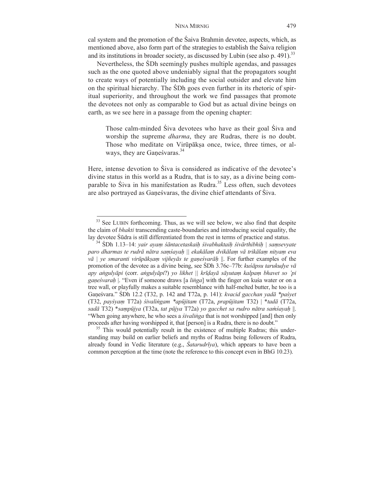cal system and the promotion of the Śaiva Brahmin devotee, aspects, which, as mentioned above, also form part of the strategies to establish the Śaiva religion and its institutions in broader society, as discussed by Lubin (see also p. 491).<sup>33</sup>

Nevertheless, the ŚDh seemingly pushes multiple agendas, and passages such as the one quoted above undeniably signal that the propagators sought to create ways of potentially including the social outsider and elevate him on the spiritual hierarchy. The ŚDh goes even further in its rhetoric of spiritual superiority, and throughout the work we find passages that promote the devotees not only as comparable to God but as actual divine beings on earth, as we see here in a passage from the opening chapter:

Those calm-minded Śiva devotees who have as their goal Śiva and worship the supreme *dharma*, they are Rudras, there is no doubt. Those who meditate on Virūpāksa once, twice, three times, or always, they are Ganeśvaras.<sup>34</sup>

Here, intense devotion to Śiva is considered as indicative of the devotee's divine status in this world as a Rudra, that is to say, as a divine being comparable to Śiva in his manifestation as Rudra.<sup>35</sup> Less often, such devotees are also portrayed as Gaṇeśvaras, the divine chief attendants of Śiva.

<u> Andreas Andreas Andreas Andreas Andreas Andreas Andreas Andreas Andreas Andreas Andreas Andreas Andreas Andr</u>

 $35$  This would potentially result in the existence of multiple Rudras; this understanding may build on earlier beliefs and myths of Rudras being followers of Rudra, already found in Vedic literature (e.g., *Śatarudrīya*), which appears to have been a common perception at the time (note the reference to this concept even in BhG 10.23).

 $33$  See LUBIN forthcoming. Thus, as we will see below, we also find that despite the claim of *bhakti* transcending caste-boundaries and introducing social equality, the lay devotee Śūdra is still differentiated from the rest in terms of practice and status.<br><sup>34</sup> SDh 1.13–14: *yair ayam śāntacetaskaih śivabhaktaih śivārthibhih* | *samsevyate* 

paro dharmas te rudrā nātra samšayah || ekakālam dvikālam vā trikālam nityam eva *vā | ye smaranti virūpākṣaṃ vijñeyās te gaṇeśvarāḥ* ||. For further examples of the promotion of the devotee as a divine being, see ŚDh 3.76c–77b: *kuśāpsu tarukuḍye vā* apy angulyāpi (corr. angulyāpi?) yo likhet || krīdayā sāyutam kalpam bhavet so 'pi *gaṇeśvaraḥ* |. "Even if someone draws [a *liṅga*] with the finger on kuśa water or on a tree wall, or playfully makes a suitable resemblance with half-melted butter, he too is a Gaṇeśvara." ŚDh 12.2 (T32, p. 142 and T72a, p. 141): *kvacid gacchan yadā \*paśyet* (T32, *payśyaṃ* T72a) *śivaliṅgam \*apūjitam* (T72a, *prapūjitam* T32) | \**tadā* (T72a, *sadā* T32) \**saṃpūjya* (T32a, *tat pūjya* T72a) *yo gacchet sa rudro nātra saṁśayaḥ* ||. "When going anywhere, he who sees a *śivalinga* that is not worshipped [and] then only proceeds after having worshipped it, that [person] is a Rudra, there is no doubt."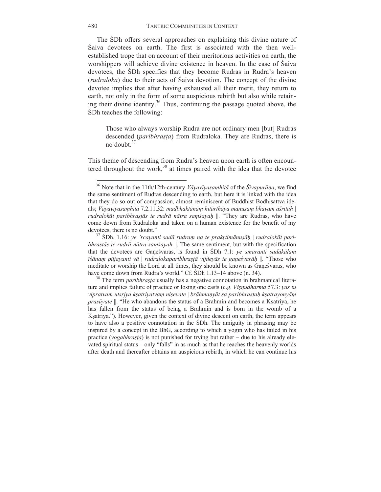The ŚDh offers several approaches on explaining this divine nature of Śaiva devotees on earth. The first is associated with the then wellestablished trope that on account of their meritorious activities on earth, the worshippers will achieve divine existence in heaven. In the case of Śaiva devotees, the ŚDh specifies that they become Rudras in Rudra's heaven (*rudraloka*) due to their acts of Śaiva devotion. The concept of the divine devotee implies that after having exhausted all their merit, they return to earth, not only in the form of some auspicious rebirth but also while retaining their divine identity. <sup>36</sup> Thus, continuing the passage quoted above, the ŚDh teaches the following:

Those who always worship Rudra are not ordinary men [but] Rudras descended (*paribhrasta*) from Rudraloka. They are Rudras, there is no doubt  $37$ 

This theme of descending from Rudra's heaven upon earth is often encountered throughout the work,  $38$  at times paired with the idea that the devotee

<sup>36</sup> Note that in the 11th/12th-century *Vāyavīyasaṃhitā* of the *Śivapurāṇa*, we find the same sentiment of Rudras descending to earth, but here it is linked with the idea that they do so out of compassion, almost reminiscent of Buddhist Bodhisattva ideals; Vāyavīyasamhitā 7.2.11.32; madbhaktānām hitārthāya mānusam bhāvam āśritāh | *rudralokāt paribhraṣṭās te rudrā nātra saṃśayaḥ* ||. "They are Rudras, who have come down from Rudraloka and taken on a human existence for the benefit of my devotees, there is no doubt." <sup>37</sup> <sup>Ś</sup>Dh. 1.16: *ye 'rcayanti sadā rudra<sup>ṃ</sup> na te prakṛtimānuṣāḥ* <sup>|</sup>*rudralokāt pari-*

*bhraṣṭās te rudrā nātra saṃśayaḥ* ||. The same sentiment, but with the specification that the devotees are Gaṇeśvaras, is found in ŚDh 7.1: *ye smaranti sadākālam īśānaṃ pūjayanti vā* | *rudralokaparibhraṣṭā vijñeyās te gaṇeśvarāḥ* ||. "Those who meditate or worship the Lord at all times, they should be known as Ganeśvaras, who have come down from Rudra's world." Cf. SDh 1.13–14 above (n. 34).

<sup>&</sup>lt;sup>38</sup> The term *paribhrașța* usually has a negative connotation in brahmanical literature and implies failure of practice or losing one casts (e.g. *Viṣṇudharma* 57.3: *yas tu*  vipratvam utsrįva ksatrivatvam nisevate | brāhmanyāt sa paribhrastah ksatrayonyām *prasūvate* ||. "He who abandons the status of a Brahmin and becomes a Kṣatriya, he has fallen from the status of being a Brahmin and is born in the womb of a Kṣatriya."). However, given the context of divine descent on earth, the term appears to have also a positive connotation in the ŚDh. The amiguity in phrasing may be inspired by a concept in the BhG, according to which a yogin who has failed in his practice (*yogabhraṣṭa*) is not punished for trying but rather – due to his already elevated spiritual status – only "falls" in as much as that he reaches the heavenly worlds after death and thereafter obtains an auspicious rebirth, in which he can continue his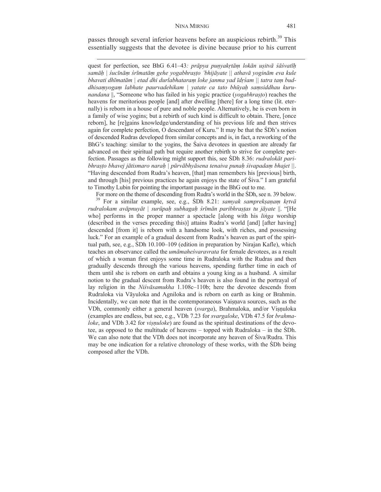passes through several inferior heavens before an auspicious rebirth.<sup>39</sup> This essentially suggests that the devotee is divine because prior to his current

<u> 1989 - Jan Samuel Barbara, margaret e popularista e popularista e popularista e popularista e popularista e</u>

quest for perfection, see BhG 6.41–43*: prāpya puṇyakṛtāṃ lokān uṣitvā śāśvatīḥ* samāh | śucīnām śrīmatām gehe yogabhrasto 'bhijāyate || athavā yoginām eva kule *bhavati dhīmatām | etad dhi durlabhataraṃ loke janma yad īdṛśam || tatra taṃ buddhisaṃyogaṃ labhate paurvadehikam | yatate ca tato bhūyaḥ saṃsiddhau kurunandana* ||, "Someone who has failed in his yogic practice (*yogabhraṣṭo*) reaches the heavens for meritorious people [and] after dwelling [there] for a long time (lit. eternally) is reborn in a house of pure and noble people. Alternatively, he is even born in a family of wise yogins; but a rebirth of such kind is difficult to obtain. There, [once reborn], he [re]gains knowledge/understanding of his previous life and then strives again for complete perfection, O descendant of Kuru." It may be that the ŚDh's notion of descended Rudras developed from similar concepts and is, in fact, a reworking of the BhG's teaching: similar to the yogins, the Śaiva devotees in question are already far advanced on their spiritual path but require another rebirth to strive for complete perfection. Passages as the following might support this, see ŚDh 8.36: *rudralokāt paribhraṣṭo bhavej jātismaro naraḥ | pūrvābhyāsena tenaiva punaḥ śivapadaṃ bhajet ||*. "Having descended from Rudra's heaven, [that] man remembers his [previous] birth, and through [his] previous practices he again enjoys the state of Śiva." I am grateful to Timothy Lubin for pointing the important passage in the BhG out to me.

For more on the theme of descending from Rudra's world in the SDh, see n. 39 below.<br><sup>39</sup> For a similar example, see, e.g., SDh 8.21: *samyak sampreksanam krtvā rudralokam avāpnuyāt | surūpaḥ subhagaḥ śrīmān paribhraṣṭas tu jāyate* ||. "[He who] performs in the proper manner a spectacle [along with his *liṅga* worship (described in the verses preceding this)] attains Rudra's world [and] [after having] descended [from it] is reborn with a handsome look, with riches, and possessing luck." For an example of a gradual descent from Rudra's heaven as part of the spiritual path, see, e.g., ŚDh 10.100–109 (edition in preparation by Nirajan Kafle), which teaches an observance called the *umāmaheśvaravrata* for female devotees, as a result of which a woman first enjoys some time in Rudraloka with the Rudras and then gradually descends through the various heavens, spending further time in each of them until she is reborn on earth and obtains a young king as a husband. A similar notion to the gradual descent from Rudra's heaven is also found in the portrayal of lay religion in the *Niśvāsamukha* 1.108c–110b; here the devotee descends from Rudraloka via Vāyuloka and Agniloka and is reborn on earth as king or Brahmin. Incidentally, we can note that in the contemporaneous Vaisnava sources, such as the VDh, commonly either a general heaven (*svarga*), Brahmaloka, and/or Viṣṇuloka (examples are endless, but see, e.g., VDh 7.23 for *svargaloke*, VDh 47.5 for *brahmaloke*, and VDh 3.42 for *visnuloke*) are found as the spiritual destinations of the devotee, as opposed to the multitude of heavens – topped with Rudraloka – in the ŚDh. We can also note that the VDh does not incorporate any heaven of Siva/Rudra. This may be one indication for a relative chronology of these works, with the ŚDh being composed after the VDh.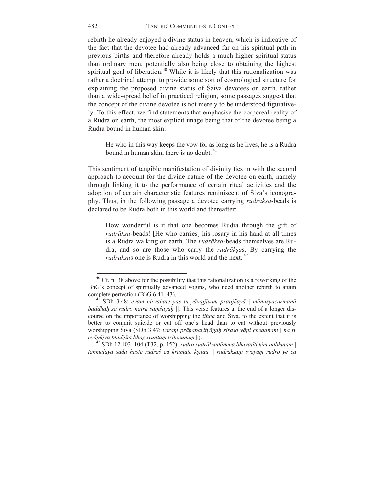rebirth he already enjoyed a divine status in heaven, which is indicative of the fact that the devotee had already advanced far on his spiritual path in previous births and therefore already holds a much higher spiritual status than ordinary men, potentially also being close to obtaining the highest spiritual goal of liberation.<sup>40</sup> While it is likely that this rationalization was rather a doctrinal attempt to provide some sort of cosmological structure for explaining the proposed divine status of Śaiva devotees on earth, rather than a wide-spread belief in practiced religion, some passages suggest that the concept of the divine devotee is not merely to be understood figuratively. To this effect, we find statements that emphasise the corporeal reality of a Rudra on earth, the most explicit image being that of the devotee being a Rudra bound in human skin:

He who in this way keeps the vow for as long as he lives, he is a Rudra bound in human skin, there is no doubt.<sup>41</sup>

This sentiment of tangible manifestation of divinity ties in with the second approach to account for the divine nature of the devotee on earth, namely through linking it to the performance of certain ritual activities and the adoption of certain characteristic features reminiscent of Śiva's iconography. Thus, in the following passage a devotee carrying *rudrākṣa*-beads is declared to be Rudra both in this world and thereafter:

How wonderful is it that one becomes Rudra through the gift of *rudrākṣa*-beads! [He who carries] his rosary in his hand at all times is a Rudra walking on earth. The *rudrākṣa*-beads themselves are Rudra, and so are those who carry the *rudrākṣa*s. By carrying the *rudrāksas* one is Rudra in this world and the next.  $42$ 

 $40$  Cf. n. 38 above for the possibility that this rationalization is a reworking of the BhG's concept of spiritually advanced yogins, who need another rebirth to attain complete perfection (BhG 6.41–43).

complete perfection (BhG 6.41–43). <sup>41</sup> <sup>Ś</sup>Dh 3.48: *eva<sup>ṃ</sup> nirvahate yas tu yāvajjīva<sup>ṃ</sup> pratijñayā | mānuṣyacarmaṇā baddhaḥ sa rudro nātra saṃśayaḥ ||*. This verse features at the end of a longer discourse on the importance of worshipping the *liṅga* and Śiva, to the extent that it is better to commit suicide or cut off one's head than to eat without previously worshipping Śiva (ŚDh 3.47: *varaṃ prāṇaparityāgaḥ śiraso vāpi chedanam | na tv* 

SDh 12.103-104 (T32, p. 152): rudro rudrāksadānena bhavatīti kim adbhutam | *tanmālayā sadā haste rudraś ca kramate kṣitau || rudrākṣāṇi svayaṃ rudro ye ca*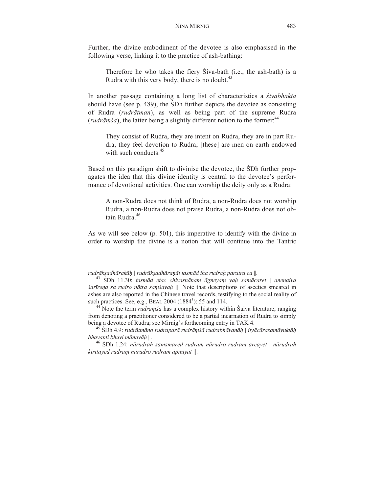Further, the divine embodiment of the devotee is also emphasised in the following verse, linking it to the practice of ash-bathing:

Therefore he who takes the fiery Śiva-bath (i.e., the ash-bath) is a Rudra with this very body, there is no doubt. $43$ 

In another passage containing a long list of characteristics a *śivabhakta* should have (see p. 489), the ŚDh further depicts the devotee as consisting of Rudra (*rudrātman*), as well as being part of the supreme Rudra (*rudrāṃśa*), the latter being a slightly different notion to the former: 44

They consist of Rudra, they are intent on Rudra, they are in part Rudra, they feel devotion to Rudra; [these] are men on earth endowed with such conducts  $45$ 

Based on this paradigm shift to divinise the devotee, the ŚDh further propagates the idea that this divine identity is central to the devotee's performance of devotional activities. One can worship the deity only as a Rudra:

A non-Rudra does not think of Rudra, a non-Rudra does not worship Rudra, a non-Rudra does not praise Rudra, a non-Rudra does not obtain Rudra<sup>46</sup>

<u> 1989 - Jan Samuel Barbara, margaret e popularista e popularista e popularista e popularista e popularista e</u>

As we will see below (p. 501), this imperative to identify with the divine in order to worship the divine is a notion that will continue into the Tantric

rudrākṣadhārakāḥ | rudrākṣadhāraṇāt tasmād iha rudraḥ paratra ca  $\parallel$ .<br><sup>43</sup> SDh 11.30: tasmād etac chivasnānam āgneyaṃ yaḥ samācaret | anenaiva *śarīreṇa sa rudro nātra saṃśayaḥ ||.* Note that descriptions of ascetics smeared in ashes are also reported in the Chinese travel records, testifying to the social reality of such practices. See, e.g., BEAL  $2004$  (1884<sup>1</sup>): 55 and 114.

<sup>&</sup>lt;sup>44</sup> Note the term *rudrāmśa* has a complex history within Śaiva literature, ranging from denoting a practitioner considered to be a partial incarnation of Rudra to simply being a devotee of Rudra; see Mirnig's forthcoming entry in TAK 4.<br><sup>45</sup> SDh 4.9: *rudrātmāno rudraparā rudrāmsā rudrabhāvanāh* | *ityācārasamāyuktāh* 

bhavanti bhuvi mānavāḥ ||.<br><sup>46</sup> SDh 1.24: nārudraḥ saṃsmared rudraṃ nārudro rudram arcayet | nārudraḥ

*kīrttayed rudraṃ nārudro rudram āpnuyāt ||.*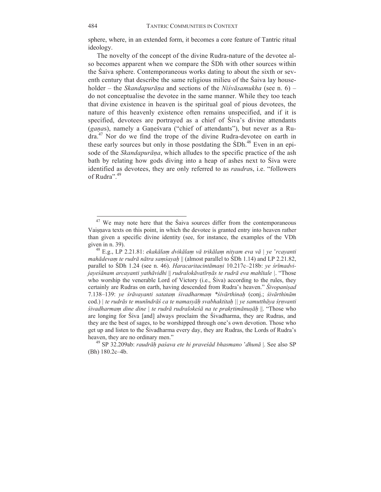sphere, where, in an extended form, it becomes a core feature of Tantric ritual ideology.

The novelty of the concept of the divine Rudra-nature of the devotee also becomes apparent when we compare the ŚDh with other sources within the Śaiva sphere. Contemporaneous works dating to about the sixth or seventh century that describe the same religious milieu of the Śaiva lay householder – the *Skandapurāṇa* and sections of the *Niśvāsamukha* (see n. 6) – do not conceptualise the devotee in the same manner. While they too teach that divine existence in heaven is the spiritual goal of pious devotees, the nature of this heavenly existence often remains unspecified, and if it is specified, devotees are portrayed as a chief of Śiva's divine attendants (*gaṇa*s), namely a Gaṇeśvara ("chief of attendants"), but never as a Rudra.<sup>47</sup> Nor do we find the trope of the divine Rudra-devotee on earth in these early sources but only in those postdating the SDh.<sup>48</sup> Even in an episode of the *Skandapurāṇa*, which alludes to the specific practice of the ash bath by relating how gods diving into a heap of ashes next to Śiva were identified as devotees, they are only referred to as *raudra*s, i.e. "followers of Rudra".<sup>49</sup>

<sup>&</sup>lt;sup>47</sup> We may note here that the Saiva sources differ from the contemporaneous Vaisnava texts on this point, in which the devotee is granted entry into heaven rather than given a specific divine identity (see, for instance, the examples of the VDh

given in n. 39). 48 E.g., LP 2.21.81: *ekakāla<sup>ṃ</sup> dvikāla<sup>ṃ</sup> <sup>v</sup>ā trikāla<sup>ṃ</sup> nityam eva vā | ye* '*rcayanti mahādevaṃ te rudrā nātra saṃśayaḥ* || (almost parallel to ŚDh 1.14) and LP 2.21.82, parallel to ŚDh 1.24 (see n. 46). *Haracaritacintāmaṇi* 10.217c–218b: *ye śrīmadvijayeśānam arcayanti yathāvidhi* || *rudralokāvatīrṇās te rudrā eva mahītale |*. "Those who worship the venerable Lord of Victory (i.e., Śiva) according to the rules, they certainly are Rudras on earth, having descended from Rudra's heaven." *Śivopaniṣad* 7.138-139: ye śrāvayanti satatam śivadharmam \*śivārthinah (conj.; śivārthinām cod.) *| te rudrās te munīndrāś ca te namasyāḥ svabhaktitaḥ || ye samutthāya śṛṇvanti śivadharmaṃ dine dine | te rudrā rudralokeśā na te prakṛtimānuṣāḥ* ||. "Those who are longing for Śiva [and] always proclaim the Śivadharma, they are Rudras, and they are the best of sages, to be worshipped through one's own devotion. Those who get up and listen to the Śivadharma every day, they are Rudras, the Lords of Rudra's heaven, they are no ordinary men." 49 SP 32.209ab: *raudrāḥ paśava ete hi praveśād bhasmano* '*dhun<sup>ā</sup>* |. See also SP

<sup>(</sup>Bh) 180.2c–4b.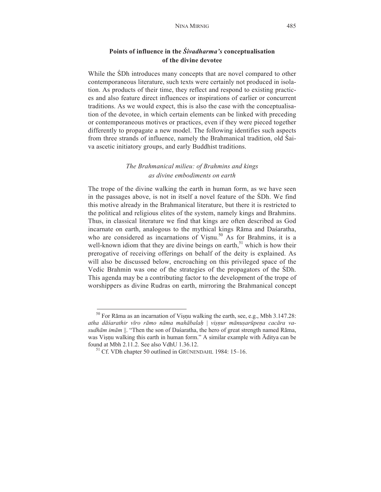# **Points of influence in the** *Śivadharma's* **conceptualisation of the divine devotee**

While the ŚDh introduces many concepts that are novel compared to other contemporaneous literature, such texts were certainly not produced in isolation. As products of their time, they reflect and respond to existing practices and also feature direct influences or inspirations of earlier or concurrent traditions. As we would expect, this is also the case with the conceptualisation of the devotee, in which certain elements can be linked with preceding or contemporaneous motives or practices, even if they were pieced together differently to propagate a new model. The following identifies such aspects from three strands of influence, namely the Brahmanical tradition, old Śaiva ascetic initiatory groups, and early Buddhist traditions.

# *The Brahmanical milieu: of Brahmins and kings as divine embodiments on earth*

The trope of the divine walking the earth in human form, as we have seen in the passages above, is not in itself a novel feature of the ŚDh. We find this motive already in the Brahmanical literature, but there it is restricted to the political and religious elites of the system, namely kings and Brahmins. Thus, in classical literature we find that kings are often described as God incarnate on earth, analogous to the mythical kings Rāma and Daśaratha, who are considered as incarnations of Visnu.<sup>50</sup> As for Brahmins, it is a well-known idiom that they are divine beings on earth, $51$  which is how their prerogative of receiving offerings on behalf of the deity is explained. As will also be discussed below, encroaching on this privileged space of the Vedic Brahmin was one of the strategies of the propagators of the ŚDh. This agenda may be a contributing factor to the development of the trope of worshippers as divine Rudras on earth, mirroring the Brahmanical concept

 $50$  For Rāma as an incarnation of Viṣṇu walking the earth, see, e.g., Mbh 3.147.28: atha dāśarathir vīro rāmo nāma mahābalah | visnur mānusarūpena cacāra va*sudhām imām* ||. "Then the son of Daśaratha, the hero of great strength named Rāma, was Viṣṇu walking this earth in human form." A similar example with Āditya can be

 $51$  Cf. VDh chapter 50 outlined in GRÜNENDAHL 1984: 15–16.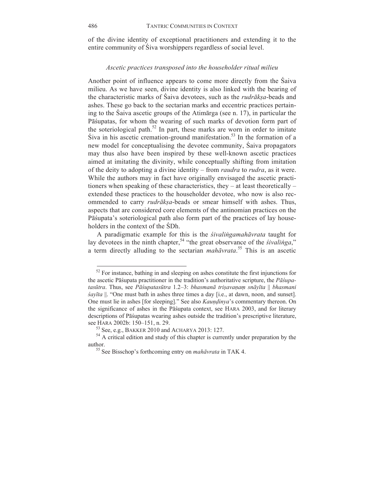of the divine identity of exceptional practitioners and extending it to the entire community of Śiva worshippers regardless of social level.

## *Ascetic practices transposed into the householder ritual milieu*

Another point of influence appears to come more directly from the Śaiva milieu. As we have seen, divine identity is also linked with the bearing of the characteristic marks of Śaiva devotees, such as the *rudrākṣa*-beads and ashes. These go back to the sectarian marks and eccentric practices pertaining to the Śaiva ascetic groups of the Atimārga (see n. 17), in particular the Pāśupatas, for whom the wearing of such marks of devotion form part of the soteriological path.<sup>52</sup> In part, these marks are worn in order to imitate  $\text{S}$ iva in his ascetic cremation-ground manifestation.<sup>53</sup> In the formation of a new model for conceptualising the devotee community, Śaiva propagators may thus also have been inspired by these well-known ascetic practices aimed at imitating the divinity, while conceptually shifting from imitation of the deity to adopting a divine identity – from *raudra* to *rudra*, as it were. While the authors may in fact have originally envisaged the ascetic practitioners when speaking of these characteristics, they – at least theoretically – extended these practices to the householder devotee, who now is also recommended to carry *rudrākṣa*-beads or smear himself with ashes. Thus, aspects that are considered core elements of the antinomian practices on the Pāśupata's soteriological path also form part of the practices of lay householders in the context of the ŚDh.

A paradigmatic example for this is the *śivaliṅgamahāvrata* taught for lay devotees in the ninth chapter,<sup>54</sup> "the great observance of the *śivalinga*," a term directly alluding to the sectarian *mahāvrata*. <sup>55</sup> This is an ascetic

 $52$  For instance, bathing in and sleeping on ashes constitute the first injunctions for the ascetic Pāśupata practitioner in the tradition's authoritative scripture, the *Pāśupa*tasūtra. Thus, see Pāśupatasūtra 1.2-3: bhasmanā trisavaņam snāyīta  $\parallel$  bhasmani *śayīta* ||. "One must bath in ashes three times a day [i.e., at dawn, noon, and sunset]. One must lie in ashes [for sleeping]." See also *Kaundinya*'s commentary thereon. On the significance of ashes in the Pāśupata context, see HARA 2003, and for literary descriptions of Pāśupatas wearing ashes outside the tradition's prescriptive literature, see HARA 2002b: 150–151, n. 29.

<sup>&</sup>lt;sup>53</sup> See, e.g., BAKKER 2010 and ACHARYA 2013: 127.  $54$  A critical edition and study of this chapter is currently under preparation by the author. <sup>55</sup> See Bisschop's forthcoming entry on *mahāvrata* in TAK 4.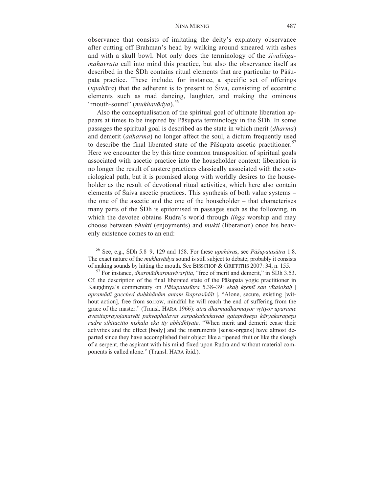#### NINA MIRNIG 487

observance that consists of imitating the deity's expiatory observance after cutting off Brahman's head by walking around smeared with ashes and with a skull bowl. Not only does the terminology of the *śivaliṅgamahāvrata* call into mind this practice, but also the observance itself as described in the ŚDh contains ritual elements that are particular to Pāśupata practice. These include, for instance, a specific set of offerings (*upahāra*) that the adherent is to present to Śiva, consisting of eccentric elements such as mad dancing, laughter, and making the ominous "mouth-sound" (*mukhavādya*).<sup>56</sup>

Also the conceptualisation of the spiritual goal of ultimate liberation appears at times to be inspired by Pāśupata terminology in the ŚDh. In some passages the spiritual goal is described as the state in which merit (*dharma*) and demerit (*adharma*) no longer affect the soul, a dictum frequently used to describe the final liberated state of the Pāśupata ascetic practitioner.<sup>57</sup> Here we encounter the by this time common transposition of spiritual goals associated with ascetic practice into the householder context: liberation is no longer the result of austere practices classically associated with the soteriological path, but it is promised along with worldly desires to the householder as the result of devotional ritual activities, which here also contain elements of Śaiva ascetic practices. This synthesis of both value systems – the one of the ascetic and the one of the householder – that characterises many parts of the ŚDh is epitomised in passages such as the following, in which the devotee obtains Rudra's world through *liṅga* worship and may choose between *bhukti* (enjoyments) and *mukti* (liberation) once his heavenly existence comes to an end:

<sup>56</sup> See, e.g., ŚDh 5.8–9, 129 and 158. For these *upahāra*s, see *Pāśupatasūtra* 1.8. The exact nature of the *mukhavādya* sound is still subject to debate; probably it consists of making sounds by hitting the mouth. See BISSCHOP & GRIFFITHS 2007: 34, n. 155.

<sup>&</sup>lt;sup>57</sup> For instance, *dharmādharmavivarjita*, "free of merit and demerit," in ŚDh 3.53. Cf. the description of the final liberated state of the Pāśupata yogic practitioner in Kauṇḍinya's commentary on *Pāśupatasūtra* 5.38–39: *ekaḥ kṣemī san vītaśokaḥ* | *apramādī gacched duḥkhānām antam īśaprasādāt* |. "Alone, secure, existing [without action], free from sorrow, mindful he will reach the end of suffering from the grace of the master." (Transl. HARA 1966): *atra dharmādharmayor vṛttyor uparame avasitaprayojanatvāt pakvaphalavat sarpakañcukavad gataprāyeṣu kāryakaraṇeṣu rudre sthitacitto niṣkala eka ity abhidhīyate*. "When merit and demerit cease their activities and the effect [body] and the instruments [sense-organs] have almost departed since they have accomplished their object like a ripened fruit or like the slough of a serpent, the aspirant with his mind fixed upon Rudra and without material components is called alone." (Transl. HARA ibid.).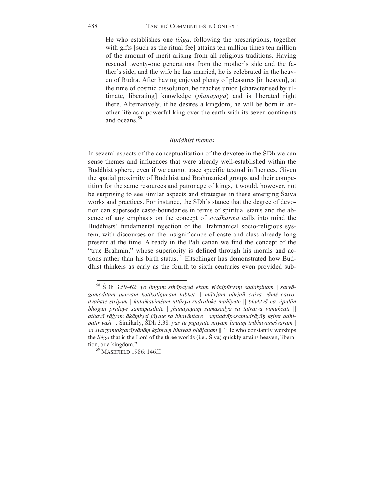He who establishes one *liṅga*, following the prescriptions, together with gifts [such as the ritual fee] attains ten million times ten million of the amount of merit arising from all religious traditions. Having rescued twenty-one generations from the mother's side and the father's side, and the wife he has married, he is celebrated in the heaven of Rudra. After having enjoyed plenty of pleasures [in heaven], at the time of cosmic dissolution, he reaches union [characterised by ultimate, liberating] knowledge (*jñānayoga*) and is liberated right there. Alternatively, if he desires a kingdom, he will be born in another life as a powerful king over the earth with its seven continents and oceans<sup>58</sup>

#### *Buddhist themes*

In several aspects of the conceptualisation of the devotee in the ŚDh we can sense themes and influences that were already well-established within the Buddhist sphere, even if we cannot trace specific textual influences. Given the spatial proximity of Buddhist and Brahmanical groups and their competition for the same resources and patronage of kings, it would, however, not be surprising to see similar aspects and strategies in these emerging Śaiva works and practices. For instance, the ŚDh's stance that the degree of devotion can supersede caste-boundaries in terms of spiritual status and the absence of any emphasis on the concept of *svadharma* calls into mind the Buddhists' fundamental rejection of the Brahmanical socio-religious system, with discourses on the insignificance of caste and class already long present at the time. Already in the Pali canon we find the concept of the "true Brahmin," whose superiority is defined through his morals and actions rather than his birth status.<sup>59</sup> Eltschinger has demonstrated how Buddhist thinkers as early as the fourth to sixth centuries even provided sub-

<sup>58</sup> ŚDh 3.59–62: *yo liṅgaṃ sthāpayed ekaṃ vidhipūrvaṃ sadakṣiṇam | sarvā*gamoditam punyam kotikotigunam labhet || mātrjam pitrjañ caiva yāmś caivo*dvahate striyam | kulaikaviṃśam uttārya rudraloke mahīyate || bhuktvā ca vipulān bhogān pralaye samupasthite | jñānayogaṃ samāsādya sa tatraiva vimuñcati ||*  athavā rājyam ākāmksej jāyate sa bhavāntare | saptadvīpasamudrāyāh ksiter adhi*patir vaśī* ||. Similarly, ŚDh 3.38: *yas tu pūjayate nityaṃ liṅgaṃ tribhuvaneśvaram | sa svargamokṣarājyānāṃ kṣipraṃ bhavati bhājanam* ||. "He who constantly worships the *liṅga* that is the Lord of the three worlds (i.e., Śiva) quickly attains heaven, liberation, or a kingdom."<br><sup>59</sup> MASEFIELD 1986: 146ff.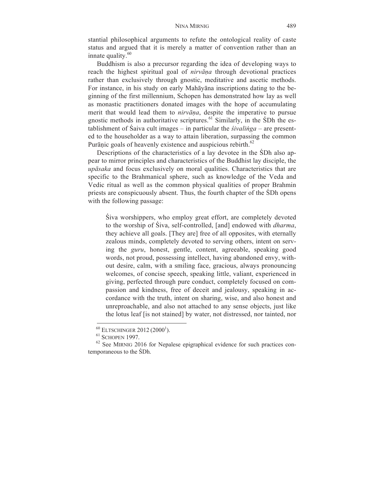stantial philosophical arguments to refute the ontological reality of caste status and argued that it is merely a matter of convention rather than an innate quality. $60$ 

Buddhism is also a precursor regarding the idea of developing ways to reach the highest spiritual goal of *nirvāṇa* through devotional practices rather than exclusively through gnostic, meditative and ascetic methods. For instance, in his study on early Mahāyāna inscriptions dating to the beginning of the first millennium, Schopen has demonstrated how lay as well as monastic practitioners donated images with the hope of accumulating merit that would lead them to *nirvāṇa*, despite the imperative to pursue gnostic methods in authoritative scriptures. $61$  Similarly, in the SDh the establishment of Śaiva cult images – in particular the *śivaliṅga* – are presented to the householder as a way to attain liberation, surpassing the common Purānic goals of heavenly existence and auspicious rebirth.<sup>62</sup>

Descriptions of the characteristics of a lay devotee in the ŚDh also appear to mirror principles and characteristics of the Buddhist lay disciple, the *upāsaka* and focus exclusively on moral qualities. Characteristics that are specific to the Brahmanical sphere, such as knowledge of the Veda and Vedic ritual as well as the common physical qualities of proper Brahmin priests are conspicuously absent. Thus, the fourth chapter of the ŚDh opens with the following passage:

Śiva worshippers, who employ great effort, are completely devoted to the worship of Śiva, self-controlled, [and] endowed with *dharma*, they achieve all goals. [They are] free of all opposites, with eternally zealous minds, completely devoted to serving others, intent on serving the *guru*, honest, gentle, content, agreeable, speaking good words, not proud, possessing intellect, having abandoned envy, without desire, calm, with a smiling face, gracious, always pronouncing welcomes, of concise speech, speaking little, valiant, experienced in giving, perfected through pure conduct, completely focused on compassion and kindness, free of deceit and jealousy, speaking in accordance with the truth, intent on sharing, wise, and also honest and unreproachable, and also not attached to any sense objects, just like the lotus leaf [is not stained] by water, not distressed, nor tainted, nor

 $^{60}$  Eltschinger 2012 (2000<sup>1</sup>

 $\frac{61}{62}$  SCHOPEN 1997.<br> $\frac{62}{62}$  See MIRNIG 2016 for Nepalese epigraphical evidence for such practices contemporaneous to the ŚDh.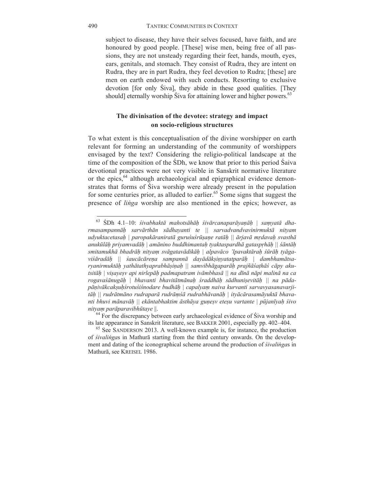subject to disease, they have their selves focused, have faith, and are honoured by good people. [These] wise men, being free of all passions, they are not unsteady regarding their feet, hands, mouth, eyes, ears, genitals, and stomach. They consist of Rudra, they are intent on Rudra, they are in part Rudra, they feel devotion to Rudra; [these] are men on earth endowed with such conducts. Resorting to exclusive devotion [for only Siva], they abide in these good qualities. [They should] eternally worship Siva for attaining lower and higher powers.<sup>63</sup>

# **The divinisation of the devotee: strategy and impact on socio-religious structures**

To what extent is this conceptualisation of the divine worshipper on earth relevant for forming an understanding of the community of worshippers envisaged by the text? Considering the religio-political landscape at the time of the composition of the ŚDh, we know that prior to this period Śaiva devotional practices were not very visible in Sanskrit normative literature or the epics,<sup>64</sup> although archaeological and epigraphical evidence demonstrates that forms of Śiva worship were already present in the population for some centuries prior, as alluded to earlier.<sup>65</sup> Some signs that suggest the presence of *liṅga* worship are also mentioned in the epics; however, as

<sup>63</sup> ŚDh 4.1–10: *śivabhaktā mahotsāhāḥ śivārcanaparāyaṇāḥ | saṃyatā dharmasampannāḥ sarvārthān sādhayanti te || sarvadvandvavinirmuktā nityam*  udyuktacetasah | paropakāraniratā guruśuśrūṣane ratāh || ārjavā mṛdavaḥ svasthā *anukūlāḥ priyamvadāḥ | amānino buddhimantaḥ tyaktaspardhā gataspṛhāḥ || śāntāḥ* smitamukhā bhadrāh nityam svāgatavādikāh | alpavāco 'lpavaktārah śūrāh tyāgaviśāradāh || śaucācāreņa sampannā dayādāksinyatatparāh | dambhamātsaryanirmuktāh yathātathyaprabhāsinah || samvibhāgaparāh prajñāsathās cāpy akutsitāh | visayesy api nirlepāh padmapatram ivāmbhasā || na dīnā nāpi malinā na ca rogavasānugāh | bhavanti bhavitātmānaḥ sraddhāh sādhunisevitāḥ || na pāda*pāṇivākcakṣuḥśrotuśiśnodare budhāḥ | capalyaṃ naiva kurvanti sarvavyasanavarji*tāh || rudrātmāno rudraparā rudrāmśā rudrabhāvanāh | ityācārasamāyuktā bhavanti bhuvi mānavāh \\ ekāntabhaktim āsthāya gunesv etesu vartante \ pūjanīyah śivo

*nityam parāparavibhūtaye* ||.<br>
<sup>64</sup> For the discrepancy between early archaeological evidence of Śiva worship and its late appearance in Sanskrit literature, see BAKKER 2001, especially pp. 402–404.

 $\frac{65}{65}$  See SANDERSON 2013. A well-known example is, for instance, the production of *śivaliṅga*s in Mathurā starting from the third century onwards. On the development and dating of the iconographical scheme around the production of *śivaliṅga*s in Mathurā, see KREISEL 1986.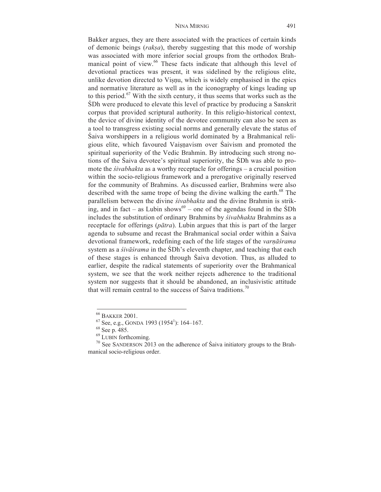Bakker argues, they are there associated with the practices of certain kinds of demonic beings (*rakṣa*), thereby suggesting that this mode of worship was associated with more inferior social groups from the orthodox Brahmanical point of view.<sup>66</sup> These facts indicate that although this level of devotional practices was present, it was sidelined by the religious elite, unlike devotion directed to Visnu, which is widely emphasised in the epics and normative literature as well as in the iconography of kings leading up to this period.<sup>67</sup> With the sixth century, it thus seems that works such as the ŚDh were produced to elevate this level of practice by producing a Sanskrit corpus that provided scriptural authority. In this religio-historical context, the device of divine identity of the devotee community can also be seen as a tool to transgress existing social norms and generally elevate the status of Śaiva worshippers in a religious world dominated by a Brahmanical religious elite, which favoured Vaisnavism over Saivism and promoted the spiritual superiority of the Vedic Brahmin. By introducing such strong notions of the Śaiva devotee's spiritual superiority, the ŚDh was able to promote the *śivabhakta* as a worthy receptacle for offerings – a crucial position within the socio-religious framework and a prerogative originally reserved for the community of Brahmins. As discussed earlier, Brahmins were also described with the same trope of being the divine walking the earth.<sup>68</sup> The parallelism between the divine *śivabhakta* and the divine Brahmin is striking, and in fact – as Lubin shows<sup>69</sup> – one of the agendas found in the SDh includes the substitution of ordinary Brahmins by *śivabhakta* Brahmins as a receptacle for offerings (*pātra*). Lubin argues that this is part of the larger agenda to subsume and recast the Brahmanical social order within a Śaiva devotional framework, redefining each of the life stages of the *varṇāśrama* system as a *śivāśrama* in the ŚDh's eleventh chapter, and teaching that each of these stages is enhanced through Śaiva devotion. Thus, as alluded to earlier, despite the radical statements of superiority over the Brahmanical system, we see that the work neither rejects adherence to the traditional system nor suggests that it should be abandoned, an inclusivistic attitude that will remain central to the success of Saiva traditions.<sup>70</sup>

<sup>&</sup>lt;sup>66</sup> BAKKER 2001.<br><sup>67</sup> See, e.g., GONDA 1993 (1954<sup>1</sup>): 164–167.<br><sup>68</sup> See p. 485.

 $^{69}$  LUBIN forthcoming.<br><sup>70</sup> See SANDERSON 2013 on the adherence of Śaiva initiatory groups to the Brahmanical socio-religious order.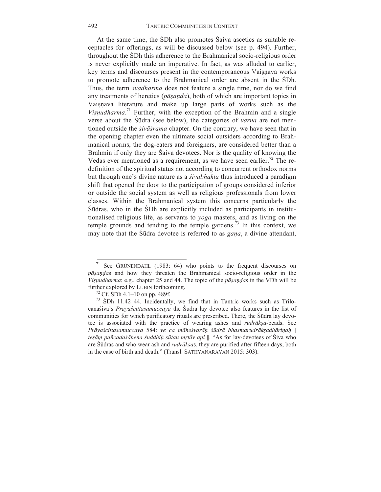At the same time, the ŚDh also promotes Śaiva ascetics as suitable receptacles for offerings, as will be discussed below (see p. 494). Further, throughout the ŚDh this adherence to the Brahmanical socio-religious order is never explicitly made an imperative. In fact, as was alluded to earlier, key terms and discourses present in the contemporaneous Vaisnava works to promote adherence to the Brahmanical order are absent in the ŚDh. Thus, the term *svadharma* does not feature a single time, nor do we find any treatments of heretics (*pāṣaṇḍa*), both of which are important topics in Vaisnava literature and make up large parts of works such as the *Viṣṇudharma*. <sup>71</sup> Further, with the exception of the Brahmin and a single verse about the Śūdra (see below), the categories of *varṇa* are not mentioned outside the *śivāśrama* chapter. On the contrary, we have seen that in the opening chapter even the ultimate social outsiders according to Brahmanical norms, the dog-eaters and foreigners, are considered better than a Brahmin if only they are Śaiva devotees. Nor is the quality of knowing the Vedas ever mentioned as a requirement, as we have seen earlier.<sup>72</sup> The redefinition of the spiritual status not according to concurrent orthodox norms but through one's divine nature as a *śivabhakta* thus introduced a paradigm shift that opened the door to the participation of groups considered inferior or outside the social system as well as religious professionals from lower classes. Within the Brahmanical system this concerns particularly the Śūdras, who in the ŚDh are explicitly included as participants in institutionalised religious life, as servants to *yoga* masters, and as living on the temple grounds and tending to the temple gardens.<sup> $\frac{73}{2}$ </sup> In this context, we may note that the Śūdra devotee is referred to as *gaṇa*, a divine attendant,

<sup>&</sup>lt;sup>71</sup> See GRÜNENDAHL (1983: 64) who points to the frequent discourses on *pāṣaṇḍa*s and how they threaten the Brahmanical socio-religious order in the *Viṣṇudharma*; e.g., chapter 25 and 44. The topic of the *pāṣaṇḍa*s in the VDh will be further explored by LUBIN forthcoming.<br><sup>72</sup> Cf. SDh 4.1–10 on pp. 489f.<br><sup>73</sup> SDh 11.42–44. Incidentally, we find that in Tantric works such as Trilo-

canaśiva's *Prāyaścittasamuccaya* the Śūdra lay devotee also features in the list of communities for which purificatory rituals are prescribed. There, the Śūdra lay devotee is associated with the practice of wearing ashes and *rudrākṣa*-beads. See Prāyaścittasamuccaya 584: ye ca māheśvarāh śūdrā bhasmarudrākṣadhāriṇaḥ | *teṣāṃ pañcadaśāhena śuddhiḥ sūtau mṛtāv api* ||. "As for lay-devotees of Śiva who are Śūdras and who wear ash and *rudrākṣa*s, they are purified after fifteen days, both in the case of birth and death." (Transl. SATHYANARAYAN 2015: 303).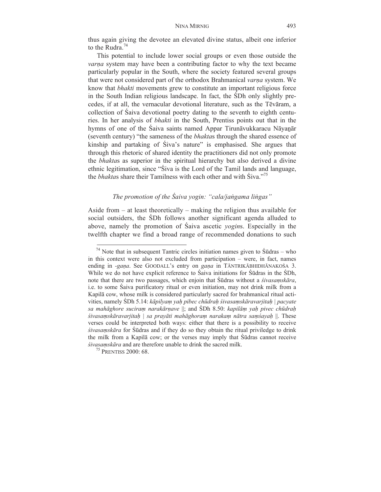thus again giving the devotee an elevated divine status, albeit one inferior to the Rudra<sup>74</sup>

This potential to include lower social groups or even those outside the *varna* system may have been a contributing factor to why the text became particularly popular in the South, where the society featured several groups that were not considered part of the orthodox Brahmanical *varṇa* system. We know that *bhakti* movements grew to constitute an important religious force in the South Indian religious landscape. In fact, the ŚDh only slightly precedes, if at all, the vernacular devotional literature, such as the Tēvāram, a collection of Śaiva devotional poetry dating to the seventh to eighth centuries. In her analysis of *bhakti* in the South, Prentiss points out that in the hymns of one of the Śaiva saints named Appar Tirunāvukkaracu Nāyanār (seventh century) "the sameness of the *bhakta*s through the shared essence of kinship and partaking of Śiva's nature" is emphasised. She argues that through this rhetoric of shared identity the practitioners did not only promote the *bhakta*s as superior in the spiritual hierarchy but also derived a divine ethnic legitimation, since "Śiva is the Lord of the Tamil lands and language, the *bhakta*s share their Tamilness with each other and with Śiva."<sup>75</sup>

# *The promotion of the Śaiva yogin: "cala/jaṅgama liṅgas"*

Aside from – at least theoretically – making the religion thus available for social outsiders, the ŚDh follows another significant agenda alluded to above, namely the promotion of Śaiva ascetic *yogin*s. Especially in the twelfth chapter we find a broad range of recommended donations to such

 $74$  Note that in subsequent Tantric circles initiation names given to Sūdras – who in this context were also not excluded from participation – were, in fact, names ending in *-gaṇa*. See GOODALL's entry on *gaṇa* in TĀNTRIKĀBHIDHĀNAKOŚA 3. While we do not have explicit reference to Śaiva initiations for Śūdras in the ŚDh, note that there are two passages, which enjoin that Śūdras without a *śivasaṃskāra*, i.e. to some Śaiva purificatory ritual or even initiation, may not drink milk from a Kapilā cow, whose milk is considered particularly sacred for brahmanical ritual activities, namely ŚDh 5.14: *kāpilyaṃ yaḥ pibec chūdraḥ śivasaṃskāravarjitaḥ | pacyate sa mahāghore suciraṃ narakārṇave* ||; and ŚDh 8.50: *kapilāṃ yaḥ pivec chūdraḥ śivasaṃskāravarjitaḥ | sa prayāti mahāghoraṃ narakaṃ nātra saṃśayaḥ* ||. These verses could be interpreted both ways: either that there is a possibility to receive *śivasaṃskāra* for Śūdras and if they do so they obtain the ritual priviledge to drink the milk from a Kapilā cow; or the verses may imply that Śūdras cannot receive *<sup>ś</sup>ivasaṃskāra* and are therefore unable to drink the sacred milk. 75 PRENTISS 2000: 68.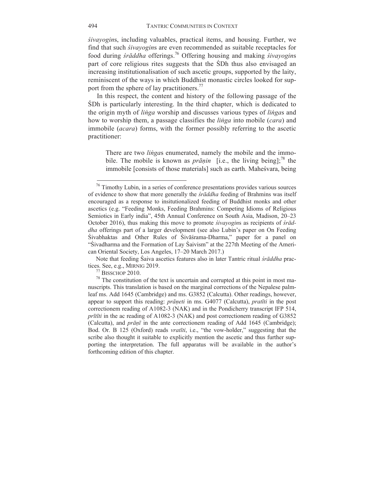*śivayogin*s, including valuables, practical items, and housing. Further, we find that such *śivayogin*s are even recommended as suitable receptacles for food during *śrāddha* offerings.<sup>76</sup> Offering housing and making *śivayogin*s part of core religious rites suggests that the ŚDh thus also envisaged an increasing institutionalisation of such ascetic groups, supported by the laity, reminiscent of the ways in which Buddhist monastic circles looked for support from the sphere of lay practitioners.<sup>77</sup>

In this respect, the content and history of the following passage of the ŚDh is particularly interesting. In the third chapter, which is dedicated to the origin myth of *liṅga* worship and discusses various types of *liṅga*s and how to worship them, a passage classifies the *liṅga* into mobile (*cara*) and immobile (*acara*) forms, with the former possibly referring to the ascetic practitioner:

There are two *liṅga*s enumerated, namely the mobile and the immobile. The mobile is known as *prāṇin* [i.e., the living being];<sup>78</sup> the immobile [consists of those materials] such as earth. Maheśvara, being

Note that feeding Śaiva ascetics features also in later Tantric ritual *śrāddha* prac-

 $76$  Timothy Lubin, in a series of conference presentations provides various sources of evidence to show that more generally the *śrāddha* feeding of Brahmins was itself encouraged as a response to insitutionalized feeding of Buddhist monks and other ascetics (e.g. "Feeding Monks, Feeding Brahmins: Competing Idioms of Religious Semiotics in Early india", 45th Annual Conference on South Asia, Madison, 20–23 October 2016), thus making this move to promote *śivayogin*s as recipients of *śrāddha* offerings part of a larger development (see also Lubin's paper on On Feeding Śivabhaktas and Other Rules of Śivāśrama-Dharma," paper for a panel on "Śivadharma and the Formation of Lay Śaivism" at the 227th Meeting of the American Oriental Society, Los Angeles, 17–20 March 2017.)

 $\frac{77}{78}$  BISSCHOP 2010.  $\frac{78}{78}$  The constitution of the text is uncertain and corrupted at this point in most manuscripts. This translation is based on the marginal corrections of the Nepalese palmleaf ms. Add 1645 (Cambridge) and ms. G3852 (Calcutta). Other readings, however, appear to support this reading: *prāṇeti* in ms. G4077 (Calcutta), *pratīti* in the post correctionem reading of A1082-3 (NAK) and in the Pondicherry transcript IFP 514, *prītīti* in the ac reading of A1082-3 (NAK) and post correctionem reading of G3852 (Calcutta), and *prāṇī* in the ante correctionem reading of Add 1645 (Cambridge); Bod. Or. B 125 (Oxford) reads *vratīti*, i.e., "the vow-holder," suggesting that the scribe also thought it suitable to explicitly mention the ascetic and thus further supporting the interpretation. The full apparatus will be available in the author's forthcoming edition of this chapter.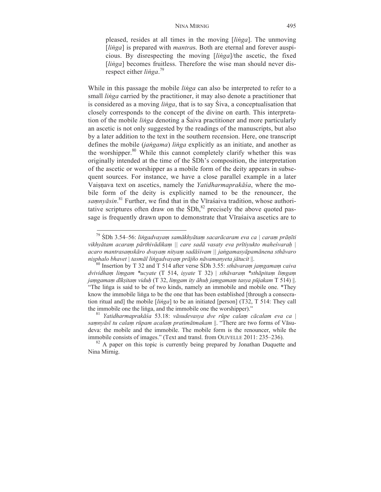pleased, resides at all times in the moving [*liṅga*]. The unmoving [*linga*] is prepared with *mantras*. Both are eternal and forever auspicious. By disrespecting the moving [*liṅga*]/the ascetic, the fixed [*linga*] becomes fruitless. Therefore the wise man should never disrespect either *liṅga*. 79

While in this passage the mobile *liṅga* can also be interpreted to refer to a small *liṅga* carried by the practitioner, it may also denote a practitioner that is considered as a moving *liṅga*, that is to say Śiva, a conceptualisation that closely corresponds to the concept of the divine on earth. This interpretation of the mobile *liṅga* denoting a Śaiva practitioner and more particularly an ascetic is not only suggested by the readings of the manuscripts, but also by a later addition to the text in the southern recension. Here, one transcript defines the mobile (*jaṅgama*) *liṅga* explicitly as an initiate, and another as the worshipper.<sup>80</sup> While this cannot completely clarify whether this was originally intended at the time of the ŚDh's composition, the interpretation of the ascetic or worshipper as a mobile form of the deity appears in subsequent sources. For instance, we have a close parallel example in a later Vaiṣṇava text on ascetics, namely the *Yatidharmaprakāśa*, where the mobile form of the deity is explicitly named to be the renouncer, the *saṃnyāsin*. <sup>81</sup> Further, we find that in the Vīraśaiva tradition, whose authoritative scriptures often draw on the  $SDh<sub>1</sub><sup>82</sup>$  precisely the above quoted passage is frequently drawn upon to demonstrate that Vīraśaiva ascetics are to

 

Nina Mirnig.

<sup>79</sup> ŚDh 3.54–56: *liṅgadvayaṃ samākhyātaṃ sacarācaram eva ca | caraṃ prāṇīti vikhyātam acaraṃ pārthivādikaṃ || care sadā vasaty eva prītiyukto maheśvaraḥ | acaro mantrasaṃskāro dvayaṃ nityaṃ sadāśivam || jaṅgamasyāpamānena sthāvaro* 

 $80$  Insertion by T 32 and T 514 after verse SDh 3.55: sthavaram jamgamam caiva *dvividhaṃ liṃgam \*ucyate* (T 514, *iṣyate* T 32) | *sthāvaraṃ \*sthāpitaṃ liṃgaṃ* jamgamam dīksitam viduh (T 32, limgam ity āhuh jamgamam tasya pūjakam T 514) ||. "The liṅga is said to be of two kinds, namely an immobile and mobile one. \*They know the immobile liṅga to be the one that has been established [through a consecration ritual and] the mobile [*liṅga*] to be an initiated [person] (T32, T 514: They call the immobile one the liṅga, and the immobile one the worshipper)." <sup>81</sup> *Yatidharmaprakāś<sup>a</sup>* 53.18: *vāsudevasya dve rūpe cala<sup>ṃ</sup> <sup>c</sup>ācalam eva ca* <sup>|</sup>

*saṃnyāsī tu calaṃ rūpam acalaṃ pratimātmakam* ||. "There are two forms of Vāsudeva: the mobile and the immobile. The mobile form is the renouncer, while the immobile consists of images." (Text and transl. from OLIVELLE 2011: 235–236).<br><sup>82</sup> A paper on this topic is currently being prepared by Jonathan Duquette and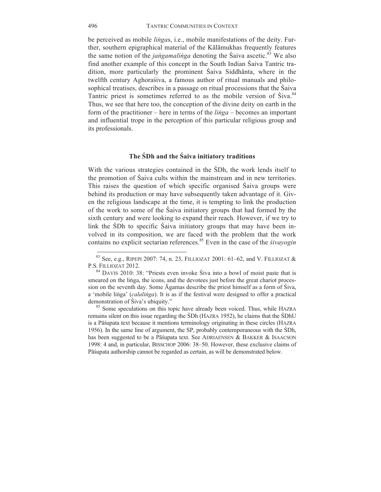be perceived as mobile *liṅga*s, i.e., mobile manifestations of the deity. Further, southern epigraphical material of the Kālāmukhas frequently features the same notion of the *jangamalinga* denoting the Saiva ascetic.<sup>83</sup> We also find another example of this concept in the South Indian Śaiva Tantric tradition, more particularly the prominent Śaiva Siddhānta, where in the twelfth century Aghoraśiva, a famous author of ritual manuals and philosophical treatises, describes in a passage on ritual processions that the Śaiva Tantric priest is sometimes referred to as the mobile version of Śiva.<sup>84</sup> Thus, we see that here too, the conception of the divine deity on earth in the form of the practitioner – here in terms of the *liṅga* – becomes an important and influential trope in the perception of this particular religious group and its professionals.

# **The ŚDh and the Śaiva initiatory traditions**

With the various strategies contained in the ŚDh, the work lends itself to the promotion of Śaiva cults within the mainstream and in new territories. This raises the question of which specific organised Śaiva groups were behind its production or may have subsequently taken advantage of it. Given the religious landscape at the time, it is tempting to link the production of the work to some of the Śaiva initiatory groups that had formed by the sixth century and were looking to expand their reach. However, if we try to link the ŚDh to specific Śaiva initiatory groups that may have been involved in its composition, we are faced with the problem that the work contains no explicit sectarian references.85 Even in the case of the *śivayogin*

<sup>&</sup>lt;sup>83</sup> See, e.g., RIPEPI 2007: 74, n. 23, FILLIOZAT 2001: 61–62, and V. FILLIOZAT & P.S. FILLIOZAT 2012.<br><sup>84</sup> DAVIS 2010: 38: "Priests even invoke Śiva into a bowl of moist paste that is

smeared on the liṅga, the icons, and the devotees just before the great chariot procession on the seventh day. Some Āgamas describe the priest himself as a form of Śiva, a 'mobile linga' (*calalinga*). It is as if the festival were designed to offer a practical demonstration of Siva's ubiquity."

<sup>&</sup>lt;sup>85</sup> Some speculations on this topic have already been voiced. Thus, while HAZRA remains silent on this issue regarding the ŚDh (HAZRA 1952), he claims that the ŚDhU is a Pāśupata text because it mentions terminology originating in these circles (HAZRA 1956). In the same line of argument, the SP, probably contemporaneous with the ŚDh, has been suggested to be a Pāśupata text. See ADRIAENSEN & BAKKER & ISAACSON 1998: 4 and, in particular, BISSCHOP 2006: 38–50. However, these exclusive claims of Pāśupata authorship cannot be regarded as certain, as will be demonstrated below.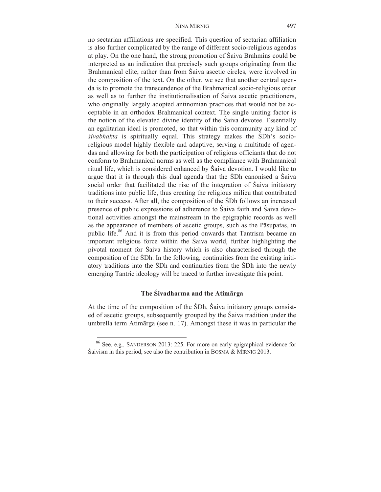no sectarian affiliations are specified. This question of sectarian affiliation is also further complicated by the range of different socio-religious agendas at play. On the one hand, the strong promotion of Śaiva Brahmins could be interpreted as an indication that precisely such groups originating from the Brahmanical elite, rather than from Śaiva ascetic circles, were involved in the composition of the text. On the other, we see that another central agenda is to promote the transcendence of the Brahmanical socio-religious order as well as to further the institutionalisation of Śaiva ascetic practitioners, who originally largely adopted antinomian practices that would not be acceptable in an orthodox Brahmanical context. The single uniting factor is the notion of the elevated divine identity of the Śaiva devotee. Essentially an egalitarian ideal is promoted, so that within this community any kind of *śivabhakta* is spiritually equal. This strategy makes the ŚDh's socioreligious model highly flexible and adaptive, serving a multitude of agendas and allowing for both the participation of religious officiants that do not conform to Brahmanical norms as well as the compliance with Brahmanical ritual life, which is considered enhanced by Śaiva devotion. I would like to argue that it is through this dual agenda that the ŚDh canonised a Śaiva social order that facilitated the rise of the integration of Śaiva initiatory traditions into public life, thus creating the religious milieu that contributed to their success. After all, the composition of the ŚDh follows an increased presence of public expressions of adherence to Śaiva faith and Śaiva devotional activities amongst the mainstream in the epigraphic records as well as the appearance of members of ascetic groups, such as the Pāśupatas, in public life.<sup>86</sup> And it is from this period onwards that Tantrism became an important religious force within the Śaiva world, further highlighting the pivotal moment for Śaiva history which is also characterised through the composition of the ŚDh. In the following, continuities from the existing initiatory traditions into the ŚDh and continuities from the ŚDh into the newly emerging Tantric ideology will be traced to further investigate this point.

## **The Śivadharma and the Atimārga**

At the time of the composition of the ŚDh, Śaiva initiatory groups consisted of ascetic groups, subsequently grouped by the Śaiva tradition under the umbrella term Atimārga (see n. 17). Amongst these it was in particular the

<sup>86</sup> See, e.g., SANDERSON 2013: 225. For more on early epigraphical evidence for Śaivism in this period, see also the contribution in BOSMA & MIRNIG 2013.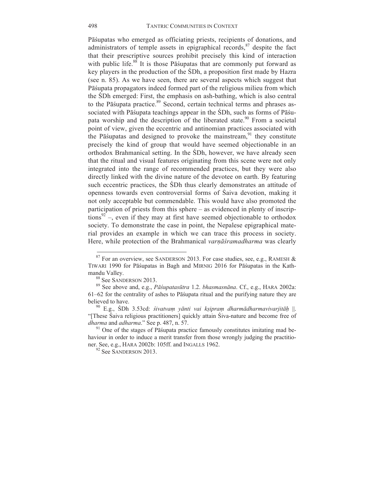Pāśupatas who emerged as officiating priests, recipients of donations, and administrators of temple assets in epigraphical records,  $\frac{87}{3}$  despite the fact that their prescriptive sources prohibit precisely this kind of interaction with public life. $88$  It is those Pa suparational are commonly put forward as key players in the production of the ŚDh, a proposition first made by Hazra (see n. 85). As we have seen, there are several aspects which suggest that Pāśupata propagators indeed formed part of the religious milieu from which the ŚDh emerged: First, the emphasis on ash-bathing, which is also central to the Pāśupata practice.<sup>89</sup> Second, certain technical terms and phrases associated with Pāśupata teachings appear in the ŚDh, such as forms of Pāśupata worship and the description of the liberated state.<sup>90</sup> From a societal point of view, given the eccentric and antinomian practices associated with the Pāśupatas and designed to provoke the mainstream,  $91$  they constitute precisely the kind of group that would have seemed objectionable in an orthodox Brahmanical setting. In the ŚDh, however, we have already seen that the ritual and visual features originating from this scene were not only integrated into the range of recommended practices, but they were also directly linked with the divine nature of the devotee on earth. By featuring such eccentric practices, the ŚDh thus clearly demonstrates an attitude of openness towards even controversial forms of Śaiva devotion, making it not only acceptable but commendable. This would have also promoted the participation of priests from this sphere – as evidenced in plenty of inscrip $tions<sup>92</sup>$ , even if they may at first have seemed objectionable to orthodox society. To demonstrate the case in point, the Nepalese epigraphical material provides an example in which we can trace this process in society. Here, while protection of the Brahmanical *varṇāśramadharma* was clearly

 $87$  For an overview, see SANDERSON 2013. For case studies, see, e.g., RAMESH & TIWARI 1990 for Pāśupatas in Bagh and MIRNIG 2016 for Pāśupatas in the Kath-

mandu Valley. 88 See SANDERSON 2013. 89 See above and, e.g., *Pāśupatasūtra* 1.2. *bhasmasnāna*. Cf., e.g., HARA 2002a: 61–62 for the centrality of ashes to Pāśupata ritual and the purifying nature they are believed to have. <sup>90</sup> E.g., ŚDh 3.53cd: *śivatva<sup>ṃ</sup> <sup>y</sup>ānti vai kṣipra<sup>ṃ</sup> dharmādharmavivarjitāḥ* ||.

<sup>&</sup>quot;[These Saiva religious practitioners] quickly attain Siva-nature and become free of *dharma* and *adharma*." See p. 487, n. 57.

<sup>&</sup>lt;sup>91</sup> One of the stages of Pāśupata practice famously constitutes imitating mad behaviour in order to induce a merit transfer from those wrongly judging the practitioner. See, e.g., HARA 2002b: 105ff. and INGALLS 1962.<br><sup>92</sup> See SANDERSON 2013.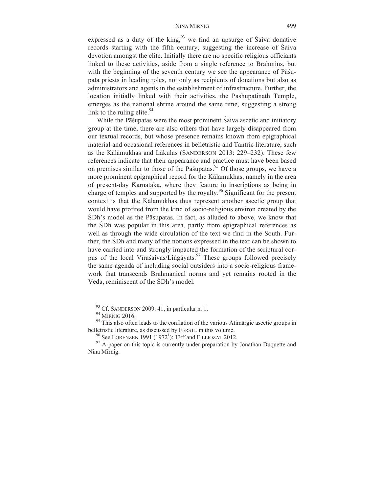expressed as a duty of the king,  $93$  we find an upsurge of Saiva donative records starting with the fifth century, suggesting the increase of Śaiva devotion amongst the elite. Initially there are no specific religious officiants linked to these activities, aside from a single reference to Brahmins, but with the beginning of the seventh century we see the appearance of Pāśupata priests in leading roles, not only as recipients of donations but also as administrators and agents in the establishment of infrastructure. Further, the location initially linked with their activities, the Pashupatinath Temple, emerges as the national shrine around the same time, suggesting a strong link to the ruling elite.  $94$ 

While the Pāśupatas were the most prominent Śaiva ascetic and initiatory group at the time, there are also others that have largely disappeared from our textual records, but whose presence remains known from epigraphical material and occasional references in belletristic and Tantric literature, such as the Kālāmukhas and Lākulas (SANDERSON 2013: 229–232). These few references indicate that their appearance and practice must have been based on premises similar to those of the Pāśupatas.<sup>95</sup> Of those groups, we have a more prominent epigraphical record for the Kālamukhas, namely in the area of present-day Karnataka, where they feature in inscriptions as being in charge of temples and supported by the royalty.<sup>96</sup> Significant for the present context is that the Kālamukhas thus represent another ascetic group that would have profited from the kind of socio-religious environ created by the ŚDh's model as the Pāśupatas. In fact, as alluded to above, we know that the ŚDh was popular in this area, partly from epigraphical references as well as through the wide circulation of the text we find in the South. Further, the ŚDh and many of the notions expressed in the text can be shown to have carried into and strongly impacted the formation of the scriptural corpus of the local Vīraśaivas/Liṅgāyats.<sup>97</sup> These groups followed precisely the same agenda of including social outsiders into a socio-religious framework that transcends Brahmanical norms and yet remains rooted in the Veda, reminiscent of the ŚDh's model.

 $93$  Cf. SANDERSON 2009: 41, in particular n. 1.

<sup>&</sup>lt;sup>94</sup> MIRNIG 2016.<br><sup>95</sup> This also often leads to the conflation of the various Atimārgic ascetic groups in belletristic literature, as discussed by FERSTL in this volume.<br><sup>96</sup> See LORENZEN 1991 (1972<sup>1</sup>): 13ff and FILLIOZAT 2012.

 $\frac{97}{97}$  A paper on this topic is currently under preparation by Jonathan Duquette and Nina Mirnig.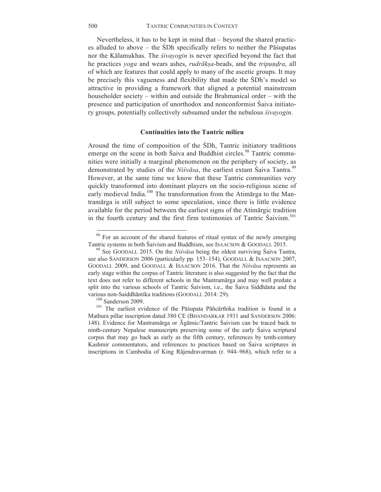Nevertheless, it has to be kept in mind that – beyond the shared practices alluded to above – the ŚDh specifically refers to neither the Pāśupatas nor the Kālamukhas. The *śivayogin* is never specified beyond the fact that he practices *yoga* and wears ashes, *rudrākṣa*-beads, and the *tripuṇḍra*, all of which are features that could apply to many of the ascetic groups. It may be precisely this vagueness and flexibility that made the ŚDh's model so attractive in providing a framework that aligned a potential mainstream householder society – within and outside the Brahmanical order – with the presence and participation of unorthodox and nonconformist Śaiva initiatory groups, potentially collectively subsumed under the nebulous *śivayogin*.

#### **Continuities into the Tantric milieu**

Around the time of composition of the ŚDh, Tantric initiatory traditions emerge on the scene in both Saiva and Buddhist circles.<sup>98</sup> Tantric communities were initially a marginal phenomenon on the periphery of society, as demonstrated by studies of the *Niśvāsa*, the earliest extant Śaiva Tantra.<sup>99</sup> However, at the same time we know that these Tantric communities very quickly transformed into dominant players on the socio-religious scene of early medieval India.<sup>100</sup> The transformation from the Atimatrga to the Mantramārga is still subject to some speculation, since there is little evidence available for the period between the earliest signs of the Atimārgic tradition in the fourth century and the first firm testimonies of Tantric Saivism.<sup>101</sup>

<sup>&</sup>lt;sup>98</sup> For an account of the shared features of ritual syntax of the newly emerging Tantric systems in both Śaivism and Buddhism, see ISAACSON & GOODALL 2015. <sup>99</sup> See GOODALL 2015. On the *Niśvāsa* being the oldest surviving Śaiva Tantra,

see also SANDERSON 2006 (particularly pp. 153–154), GOODALL & ISAACSON 2007, GOODALL 2009, and GOODALL & ISAACSON 2016. That the *Niśvāsa* represents an early stage within the corpus of Tantric literature is also suggested by the fact that the text does not refer to different schools in the Mantramārga and may well predate a split into the various schools of Tantric Śaivism, i.e., the Śaiva Siddhānta and the various non-Saiddhāntika traditions (GOODALL 2014: 29).<br><sup>100</sup> Sanderson 2009.<br><sup>101</sup> The earliest evidence of the Pāśupata Pāñcārthika tradition is found in a

Mathura pillar inscription dated 380 CE (BHANDARKAR 1931 and SANDERSON 2006: 148). Evidence for Mantramārga or Āgāmic/Tantric Śaivism can be traced back to ninth-century Nepalese manuscripts preserving some of the early Śaiva scriptural corpus that may go back as early as the fifth century, references by tenth-century Kashmir commentators, and references to practices based on Śaiva scriptures in inscriptions in Cambodia of King Rājendravarman (r. 944–968), which refer to a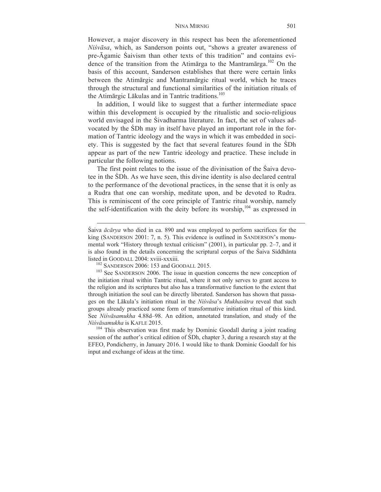However, a major discovery in this respect has been the aforementioned *Niśvāsa*, which, as Sanderson points out, "shows a greater awareness of pre-Āgamic Śaivism than other texts of this tradition" and contains evidence of the transition from the Atimarga to the Mantramarga.<sup>102</sup> On the basis of this account, Sanderson establishes that there were certain links between the Atimārgic and Mantramārgic ritual world, which he traces through the structural and functional similarities of the initiation rituals of the Atimārgic Lākulas and in Tantric traditions.<sup>103</sup>

In addition, I would like to suggest that a further intermediate space within this development is occupied by the ritualistic and socio-religious world envisaged in the Śivadharma literature. In fact, the set of values advocated by the ŚDh may in itself have played an important role in the formation of Tantric ideology and the ways in which it was embedded in society. This is suggested by the fact that several features found in the ŚDh appear as part of the new Tantric ideology and practice. These include in particular the following notions.

The first point relates to the issue of the divinisation of the Śaiva devotee in the ŚDh. As we have seen, this divine identity is also declared central to the performance of the devotional practices, in the sense that it is only as a Rudra that one can worship, meditate upon, and be devoted to Rudra. This is reminiscent of the core principle of Tantric ritual worship, namely the self-identification with the deity before its worship, $104$  as expressed in

<u> 2000 - Andrea Andrew Maria (h. 1888).</u><br>2001 - Andrew Maria (h. 1889).

session of the author's critical edition of ŚDh, chapter 3, during a research stay at the EFEO, Pondicherry, in January 2016. I would like to thank Dominic Goodall for his input and exchange of ideas at the time.

Śaiva *ācārya* who died in ca. 890 and was employed to perform sacrifices for the king (SANDERSON 2001: 7, n. 5). This evidence is outlined in SANDERSON's monumental work "History through textual criticism" (2001), in particular pp. 2–7, and it is also found in the details concerning the scriptural corpus of the Śaiva Siddhānta listed in GOODALL 2004: xviii-xxxiii.<br><sup>102</sup> SANDERSON 2006: 153 and GOODALL 2015.<br><sup>103</sup> See SANDERSON 2006. The issue in question concerns the new conception of

the initiation ritual within Tantric ritual, where it not only serves to grant access to the religion and its scriptures but also has a transformative function to the extent that through initiation the soul can be directly liberated. Sanderson has shown that passages on the Lākula's initiation ritual in the *Niśvāsa*'s *Mukhasūtra* reveal that such groups already practiced some form of transformative initiation ritual of this kind. See *Niśvāsamukha* 4.88d–98. An edition, annotated translation, and study of the *Niśvāsamukha* is KAFLE 2015. <sup>104</sup> This observation was first made by Dominic Goodall during a joint reading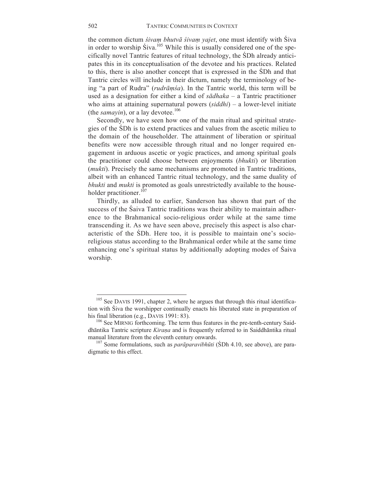the common dictum *śivaṃ bhutvā śivaṃ yajet*, one must identify with Śiva in order to worship  $\text{Siva.}^{105}$  While this is usually considered one of the specifically novel Tantric features of ritual technology, the ŚDh already anticipates this in its conceptualisation of the devotee and his practices. Related to this, there is also another concept that is expressed in the ŚDh and that Tantric circles will include in their dictum, namely the terminology of being "a part of Rudra" (*rudrāṃśa*). In the Tantric world, this term will be used as a designation for either a kind of *sādhaka –* a Tantric practitioner who aims at attaining supernatural powers (*siddhi*) – a lower-level initiate (the *samayin*), or a lay devotee.<sup>106</sup>

Secondly, we have seen how one of the main ritual and spiritual strategies of the ŚDh is to extend practices and values from the ascetic milieu to the domain of the householder. The attainment of liberation or spiritual benefits were now accessible through ritual and no longer required engagement in arduous ascetic or yogic practices, and among spiritual goals the practitioner could choose between enjoyments (*bhukti*) or liberation (*mukti*). Precisely the same mechanisms are promoted in Tantric traditions, albeit with an enhanced Tantric ritual technology, and the same duality of *bhukti* and *mukti* is promoted as goals unrestrictedly available to the householder practitioner.<sup>107</sup>

Thirdly, as alluded to earlier, Sanderson has shown that part of the success of the Śaiva Tantric traditions was their ability to maintain adherence to the Brahmanical socio-religious order while at the same time transcending it. As we have seen above, precisely this aspect is also characteristic of the ŚDh. Here too, it is possible to maintain one's socioreligious status according to the Brahmanical order while at the same time enhancing one's spiritual status by additionally adopting modes of Śaiva worship.

<sup>&</sup>lt;sup>105</sup> See DAVIS 1991, chapter 2, where he argues that through this ritual identification with Śiva the worshipper continually enacts his liberated state in preparation of his final liberation (e.g., DAVIS 1991: 83).

 $106$  See MIRNIG forthcoming. The term thus features in the pre-tenth-century Saiddhāntika Tantric scripture *Kiraṇa* and is frequently referred to in Saiddhāntika ritual manual literature from the eleventh century onwards.<br><sup>107</sup> Some formulations, such as *parāparavibhūti* (SDh 4.10, see above), are para-

digmatic to this effect.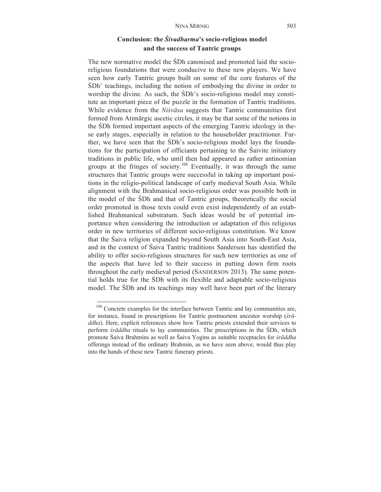# **Conclusion: the** *Śivadharma***'s socio-religious model and the success of Tantric groups**

The new normative model the ŚDh canonised and promoted laid the socioreligious foundations that were conducive to these new players. We have seen how early Tantric groups built on some of the core features of the ŚDh' teachings, including the notion of embodying the divine in order to worship the divine. As such, the ŚDh's socio-religious model may constitute an important piece of the puzzle in the formation of Tantric traditions. While evidence from the *Niśvāsa* suggests that Tantric communities first formed from Atimārgic ascetic circles, it may be that some of the notions in the ŚDh formed important aspects of the emerging Tantric ideology in these early stages, especially in relation to the householder practitioner. Further, we have seen that the ŚDh's socio-religious model lays the foundations for the participation of officiants pertaining to the Śaivite initiatory traditions in public life, who until then had appeared as rather antinomian groups at the fringes of society.<sup>108</sup> Eventually, it was through the same structures that Tantric groups were successful in taking up important positions in the religio-political landscape of early medieval South Asia. While alignment with the Brahmanical socio-religious order was possible both in the model of the ŚDh and that of Tantric groups, theoretically the social order promoted in those texts could even exist independently of an established Brahmanical substratum. Such ideas would be of potential importance when considering the introduction or adaptation of this religious order in new territories of different socio-religious constitution. We know that the Śaiva religion expanded beyond South Asia into South-East Asia, and in the context of Śaiva Tantric traditions Sanderson has identified the ability to offer socio-religious structures for such new territories as one of the aspects that have led to their success in putting down firm roots throughout the early medieval period (SANDERSON 2013). The same potential holds true for the ŚDh with its flexible and adaptable socio-religious model. The ŚDh and its teachings may well have been part of the literary

<sup>&</sup>lt;sup>108</sup> Concrete examples for the interface between Tantric and lay communities are, for instance, found in prescriptions for Tantric postmortem ancestor worship (*śrāddha*). Here, explicit references show how Tantric priests extended their services to perform *śrāddha* rituals to lay communities. The prescriptions in the ŚDh, which promote Śaiva Brahmins as well as Śaiva Yogins as suitable receptacles for *śrāddha* offerings instead of the ordinary Brahmin, as we have seen above, would thus play into the hands of these new Tantric funerary priests.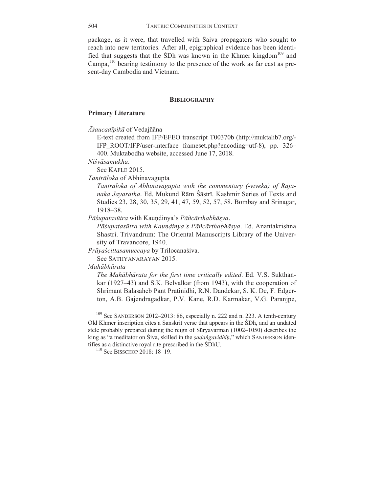package, as it were, that travelled with Śaiva propagators who sought to reach into new territories. After all, epigraphical evidence has been identified that suggests that the  $SDh$  was known in the Khmer kingdom<sup>109</sup> and Camp $\bar{a}$ ,<sup>110</sup> bearing testimony to the presence of the work as far east as present-day Cambodia and Vietnam.

#### **BIBLIOGRAPHY**

## **Primary Literature**

*Āśaucadīpikā* of Vedajñāna

E-text created from IFP/EFEO transcript T00370b (http://muktalib7.org/- IFP\_ROOT/IFP/user-interface frameset.php?encoding=utf-8), pp. 326– 400. Muktabodha website, accessed June 17, 2018.

*Niśvāsamukha*.

See KAFLE 2015.

*Tantrāloka* of Abhinavagupta

*Tantrāloka of Abhinavagupta with the commentary (-viveka) of Rājānaka Jayaratha*. Ed. Mukund Rām Śāstrī. Kashmir Series of Texts and Studies 23, 28, 30, 35, 29, 41, 47, 59, 52, 57, 58. Bombay and Srinagar, 1918–38.

*Pāśupatasūtra* with Kauṇḍinya's *Pāñcārthabhāṣya*.

*Pāśupatasūtra with Kauṇḍinya's Pāñcārthabhāṣya*. Ed. Anantakrishna Shastri. Trivandrum: The Oriental Manuscripts Library of the University of Travancore, 1940.

*Prāyaścittasamuccaya* by Trilocanaśiva.

 

See SATHYANARAYAN 2015.

*Mahābhārata*

*The Mahābhārata for the first time critically edited*. Ed. V.S. Sukthankar (1927–43) and S.K. Belvalkar (from 1943), with the cooperation of Shrimant Balasaheb Pant Pratinidhi, R.N. Dandekar, S. K. De, F. Edgerton, A.B. Gajendragadkar, P.V. Kane, R.D. Karmakar, V.G. Paranjpe,

<sup>&</sup>lt;sup>109</sup> See SANDERSON 2012–2013: 86, especially n. 222 and n. 223. A tenth-century Old Khmer inscription cites a Sanskrit verse that appears in the ŚDh, and an undated stele probably prepared during the reign of Sūryavarman (1002–1050) describes the king as "a meditator on Śiva, skilled in the *ṣaḍaṅgavidhiḥ*," which SANDERSON identifies as a distinctive royal rite prescribed in the ŚDhU.<br><sup>110</sup> See BISSCHOP 2018: 18–19.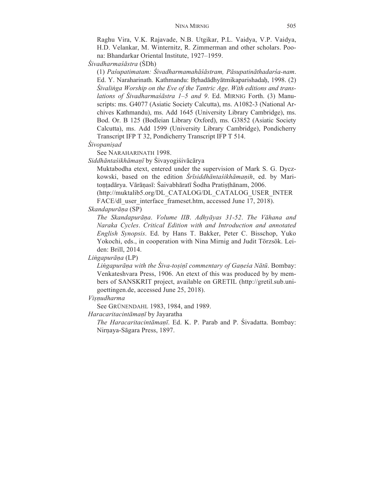Raghu Vira, V.K. Rajavade, N.B. Utgikar, P.L. Vaidya, V.P. Vaidya, H.D. Velankar, M. Winternitz, R. Zimmerman and other scholars. Poona: Bhandarkar Oriental Institute, 1927–1959.

*Śivadharmaśāstra* (ŚDh)

(1) *Paśupatimatam: Śivadharmamahāśāstram, Pāsupatināthadarśa-nam*. Ed. Y. Naraharinath. Kathmandu: Bṛhadādhyātmikaparishadaḥ, 1998. (2) *Śivaliṅga Worship on the Eve of the Tantric Age*. *With editions and translations of Śivadharmaśāstra 1–5 and 9*. Ed. MIRNIG Forth. (3) Manuscripts: ms. G4077 (Asiatic Society Calcutta), ms. A1082-3 (National Archives Kathmandu), ms. Add 1645 (University Library Cambridge), ms. Bod. Or. B 125 (Bodleian Library Oxford), ms. G3852 (Asiatic Society Calcutta), ms. Add 1599 (University Library Cambridge), Pondicherry Transcript IFP T 32, Pondicherry Transcript IFP T 514.

*Śivopaniṣad* 

See NARAHARINATH 1998.

*Siddhāntaśikhāmaṇī* by Śivayogiśivācārya

Muktabodha etext, entered under the supervision of Mark S. G. Dyczkowski, based on the edition *Śrīsiddhāntaśikhāmaṇih*, ed. by Maritoṇṭadārya. Vārāṇasī: Śaivabhāratī Śodha Pratiṣṭhānam, 2006.

(http://muktalib5.org/DL\_CATALOG/DL\_CATALOG\_USER\_INTER FACE/dl user interface frameset.htm, accessed June 17, 2018).

*Skandapurāṇa* (SP)

*The Skandapurāṇa*. *Volume IIB*. *Adhyāyas 31-52*. *The Vāhana and Naraka Cycles*. *Critical Edition with and Introduction and annotated English Synopsis*. Ed. by Hans T. Bakker, Peter C. Bisschop, Yuko Yokochi, eds., in cooperation with Nina Mirnig and Judit Törzsök. Leiden: Brill, 2014.

*Liṅgapurāṇa* (LP)

*Liṅgapurāṇa with the Śiva-toṣiṇī commentary of Gaṇeśa Nātū*. Bombay: Venkateshvara Press, 1906. An etext of this was produced by by members of SANSKRIT project, available on GRETIL (http://gretil.sub.unigoettingen.de, accessed June 25, 2018).

*Viṣṇudharma*

See GRÜNENDAHL 1983, 1984, and 1989.

*Haracaritacintāmaṇī* by Jayaratha

*The Haracaritacintāmaṇī*. Ed. K. P. Parab and P. Śivadatta. Bombay: Nirṇaya-Sāgara Press, 1897.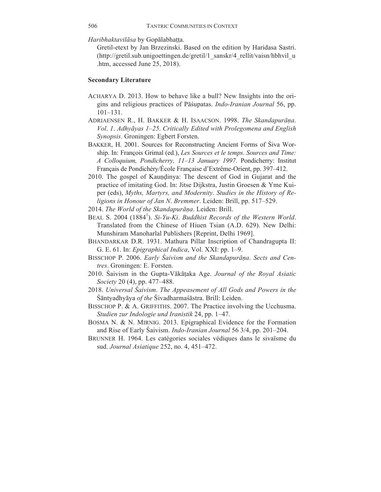*Haribhaktavilāsa* by Gopālabhaṭṭa.

Gretil-etext by Jan Brzezinski. Based on the edition by Haridasa Sastri. (http://gretil.sub.unigoettingen.de/gretil/1\_sanskr/4\_rellit/vaisn/hbhvil\_u .htm, accessed June 25, 2018).

#### **Secondary Literature**

- ACHARYA D. 2013. How to behave like a bull? New Insights into the origins and religious practices of Pāśupatas. *Indo-Iranian Journal* 56, pp. 101–131.
- ADRIAENSEN R., H. BAKKER & H. ISAACSON. 1998. *The Skandapurāṇa*. *Vol*. *1*. *Adhyāyas 1–25*. *Critically Edited with Prolegomena and English Synopsis*. Groningen: Egbert Forsten.
- BAKKER, H. 2001. Sources for Reconstructing Ancient Forms of Śiva Worship. In: François Grimal (ed.), *Les Sources et le temps*. *Sources and Time: A Colloquium, Pondicherry, 11–13 January 1997*. Pondicherry: Institut Français de Pondichéry/École Française d'Extrême-Orient, pp. 397–412.
- 2010. The gospel of Kaundinya: The descent of God in Gujarat and the practice of imitating God. In: Jitse Dijkstra, Justin Groesen & Yme Kuiper (eds), *Myths, Martyrs, and Modernity*. *Studies in the History of Religions in Honour of Jan N*. *Bremmer*. Leiden: Brill, pp. 517–529.
- 2014. *The World of the Skandapurāṇa*. Leiden: Brill.
- BEAL S. 2004 (1884<sup>1</sup>). *Si-Yu-Ki. Buddhist Records of the Western World*. Translated from the Chinese of Hiuen Tsian (A.D. 629). New Delhi: Munshiram Manoharlal Publishers [Reprint, Delhi 1969].
- BHANDARKAR D.R. 1931. Mathura Pillar Inscription of Chandragupta II: G. E. 61. In: *Epigraphical Indica*, Vol. XXI: pp. 1–9.
- BISSCHOP P. 2006. *Early Śaivism and the Skandapurāṇa*. *Sects and Centres*. Groningen: E. Forsten.
- 2010. Śaivism in the Gupta-Vākāṭaka Age. *Journal of the Royal Asiatic Society* 20 (4), pp. 477–488.
- 2018. *Universal Śaivism*. *The Appeasement of All Gods and Powers in the*  Śāntyadhyāya *of the* Śivadharmaśāstra. Brill: Leiden.
- BISSCHOP P. & A. GRIFFITHS. 2007. The Practice involving the Ucchusma. *Studien zur Indologie und Iranistik* 24, pp. 1–47.
- BOSMA N. & N. MIRNIG. 2013. Epigraphical Evidence for the Formation and Rise of Early Śaivism. *Indo-Iranian Journal* 56 3/4, pp. 201–204.
- BRUNNER H. 1964. Les catégories sociales védiques dans le sivaïsme du sud. *Journal Asiatique* 252, no. 4, 451–472.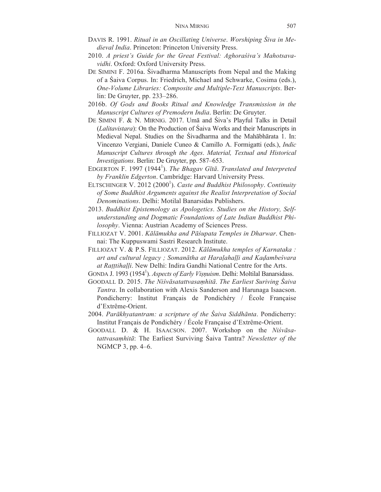- DAVIS R. 1991. *Ritual in an Oscillating Universe*. *Worshiping Śiva in Medieval India*. Princeton: Princeton University Press.
- 2010. *A priest's Guide for the Great Festival: Aghoraśiva's Mahotsavavidhi*. Oxford: Oxford University Press.
- DE SIMINI F. 2016a. Śivadharma Manuscripts from Nepal and the Making of a Śaiva Corpus. In: Friedrich, Michael and Schwarke, Cosima (eds.), *One-Volume Libraries: Composite and Multiple-Text Manuscripts*. Berlin: De Gruyter, pp. 233–286.
- 2016b. *Of Gods and Books Ritual and Knowledge Transmission in the Manuscript Cultures of Premodern India*. Berlin: De Gruyter.
- DE SIMINI F. & N. MIRNIG. 2017. Umā and Śiva's Playful Talks in Detail (*Lalitavistara*): On the Production of Śaiva Works and their Manuscripts in Medieval Nepal. Studies on the Śivadharma and the Mahābhārata 1. In: Vincenzo Vergiani, Daniele Cuneo & Camillo A. Formigatti (eds.), *Indic Manuscript Cultures through the Ages*. *Material, Textual and Historical Investigations*. Berlin: De Gruyter, pp. 587–653.
- EDGERTON F. 1997 (1944<sup>1</sup>). *The Bhagav Gītā. Translated and Interpreted by Franklin Edgerton*. Cambridge: Harvard University Press.
- ELTSCHINGER V. 2012 (2000<sup>1</sup>). *Caste and Buddhist Philosophy. Continuity of Some Buddhist Arguments against the Realist Interpretation of Social Denominations*. Delhi: Motilal Banarsidas Publishers.
- 2013. *Buddhist Epistemology as Apologetics*. *Studies on the History, Selfunderstanding and Dogmatic Foundations of Late Indian Buddhist Philosophy*. Vienna: Austrian Academy of Sciences Press.
- FILLIOZAT V. 2001. *Kālāmukha and Pāśupata Temples in Dharwar*. Chennai: The Kuppuswami Sastri Research Institute.
- FILLIOZAT V. & P.S. FILLIOZAT. 2012. *Kālāmukha temples of Karnataka : art and cultural legacy ; Somanātha at Haraḷahaḷḷi and Kaḍambeśvara at Raṭṭtihaḷḷi*. New Delhi: Indira Gandhi National Centre for the Arts.
- GONDA J. 1993 (1954<sup>1</sup>). *Aspects of Early Vișņuism*. Delhi: Moltilal Banarsidass.
- GOODALL D. 2015. *The Niśvāsatattvasaṃhitā*. *The Earliest Suriving Śaiva Tantra*. In collaboration with Alexis Sanderson and Harunaga Isaacson. Pondicherry: Institut Français de Pondichéry / École Française d'Extrême-Orient.
- 2004. *Parākhyatantram: a scripture of the Śaiva Siddhānta*. Pondicherry: Institut Français de Pondichéry / École Française d'Extrême-Orient.
- GOODALL D. & H. ISAACSON. 2007. Workshop on the *Niśvāsatattvasaṃhitā*: The Earliest Surviving Śaiva Tantra? *Newsletter of the*  NGMCP 3, pp. 4–6.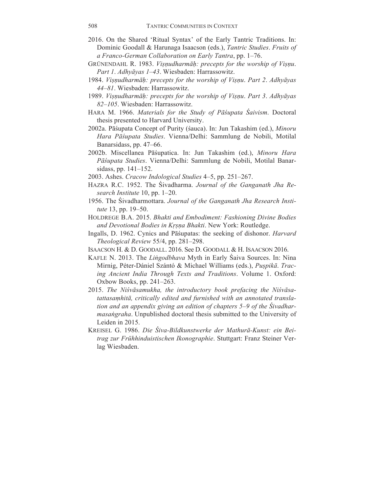- 2016. On the Shared 'Ritual Syntax' of the Early Tantric Traditions. In: Dominic Goodall & Harunaga Isaacson (eds.), *Tantric Studies*. *Fruits of a Franco-German Collaboration on Early Tantra*, pp. 1–76.
- GRÜNENDAHL R. 1983. *Viṣṇudharmāḥ: precepts for the worship of Viṣṇu*. *Part 1*. *Adhyāyas 1–43*. Wiesbaden: Harrassowitz.
- 1984. *Viṣṇudharmāḥ: precepts for the worship of Viṣṇu*. *Part 2*. *Adhyāyas 44–81*. Wiesbaden: Harrassowitz.
- 1989. *Viṣṇudharmāḥ: precepts for the worship of Viṣṇu*. *Part 3*. *Adhyāyas 82–105*. Wiesbaden: Harrassowitz.
- HARA M. 1966. *Materials for the Study of Pāśupata Śaivism*. Doctoral thesis presented to Harvard University.
- 2002a. Pāśupata Concept of Purity (śauca). In: Jun Takashim (ed.), *Minoru Hara Pāśupata Studies*. Vienna/Delhi: Sammlung de Nobili, Motilal Banarsidass, pp. 47–66.
- 2002b. Miscellanea Pāśupatica. In: Jun Takashim (ed.), *Minoru Hara Pāśupata Studies*. Vienna/Delhi: Sammlung de Nobili, Motilal Banarsidass, pp. 141–152.
- 2003. Ashes. *Cracow Indological Studies* 4–5, pp. 251–267.
- HAZRA R.C. 1952. The Śivadharma. *Journal of the Ganganath Jha Research Institute* 10, pp. 1–20.
- 1956. The Śivadharmottara. *Journal of the Ganganath Jha Research Institute* 13, pp. 19–50.
- HOLDREGE B.A. 2015. *Bhakti and Embodiment: Fashioning Divine Bodies and Devotional Bodies in Kṛṣṇa Bhakti*. New York: Routledge.
- Ingalls, D. 1962. Cynics and Pāśupatas: the seeking of dishonor. *Harvard Theological Review* 55/4, pp. 281–298.
- ISAACSON H. & D. GOODALL. 2016. See D. GOODALL & H. ISAACSON 2016.
- KAFLE N. 2013. The *Liṅgodbhava* Myth in Early Śaiva Sources. In: Nina Mirnig, Péter-Dániel Szántó & Michael Williams (eds.), *Puṣpikā*. *Tracing Ancient India Through Texts and Traditions*. Volume 1. Oxford: Oxbow Books, pp. 241–263.
- 2015. *The Niśvāsamukha, the introductory book prefacing the Niśvāsatattasaṃhitā, critically edited and furnished with an annotated translation and an appendix giving an edition of chapters 5–9 of the Śivadharmasaṅgraha*. Unpublished doctoral thesis submitted to the University of Leiden in 2015.
- KREISEL G. 1986. *Die Śiva-Bildkunstwerke der Mathurā-Kunst: ein Beitrag zur Frühhinduistischen Ikonographie*. Stuttgart: Franz Steiner Verlag Wiesbaden.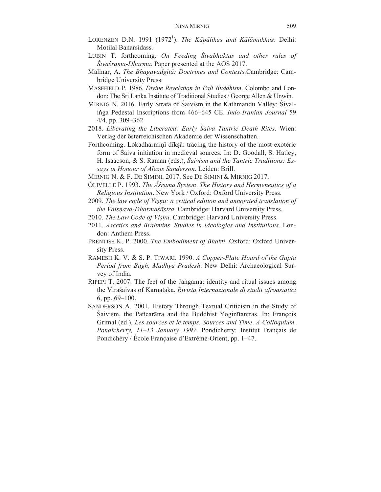- LORENZEN D.N. 1991 (1972<sup>1</sup>). *The Kāpālikas and Kālāmukhas*. Delhi: Motilal Banarsidass.
- LUBIN T. forthcoming. *On Feeding Śivabhaktas and other rules of Śivāśrama-Dharma*. Paper presented at the AOS 2017.
- Malinar, A. *The Bhagavadgītā: Doctrines and Contexts.*Cambridge: Cambridge University Press.
- MASEFIELD P. 1986. *Divine Revelation in Pali Buddhism*. Colombo and London: The Sri Lanka Institute of Traditional Studies / George Allen & Unwin.
- MIRNIG N. 2016. Early Strata of Śaivism in the Kathmandu Valley: Śivaliṅga Pedestal Inscriptions from 466–645 CE. *Indo-Iranian Journal* 59 4/4, pp. 309–362.
- 2018. *Liberating the Liberated: Early Śaiva Tantric Death Rites*. Wien: Verlag der österreichischen Akademie der Wissenschaften.
- Forthcoming. Lokadharminī dīksā: tracing the history of the most exoteric form of Śaiva initiation in medieval sources. In: D. Goodall, S. Hatley, H. Isaacson, & S. Raman (eds.), *Śaivism and the Tantric Traditions: Essays in Honour of Alexis Sanderson*. Leiden: Brill.
- MIRNIG N. & F. DE SIMINI. 2017. See DE SIMINI & MIRNIG 2017.
- OLIVELLE P. 1993. *The Āśrama System*. *The History and Hermeneutics of a Religious Institution*. New York / Oxford: Oxford University Press.
- 2009. *The law code of Viṣṇu: a critical edition and annotated translation of the Vaiṣṇava-Dharmaśāstra*. Cambridge: Harvard University Press.
- 2010. *The Law Code of Viṣṇu*. Cambridge: Harvard University Press.
- 2011. *Ascetics and Brahmins*. *Studies in Ideologies and Institutions*. London: Anthem Press.
- PRENTISS K. P. 2000. *The Embodiment of Bhakti*. Oxford: Oxford University Press.
- RAMESH K. V. & S. P. TIWARI. 1990. *A Copper-Plate Hoard of the Gupta Period from Bagh, Madhya Pradesh*. New Delhi: Archaeological Survey of India.
- RIPEPI T. 2007. The feet of the Jaṅgama: identity and ritual issues among the Vīraśaivas of Karnataka. *Rivista Internazionale di studii afroasiatici* 6, pp. 69–100.
- SANDERSON A. 2001. History Through Textual Criticism in the Study of Śaivism, the Pañcarātra and the Buddhist Yoginītantras. In: François Grimal (ed.), *Les sources et le temps*. *Sources and Time*. *A Colloquium, Pondicherry, 11–13 January 1997*. Pondicherry: Institut Français de Pondichéry / École Française d'Extrême-Orient, pp. 1–47.